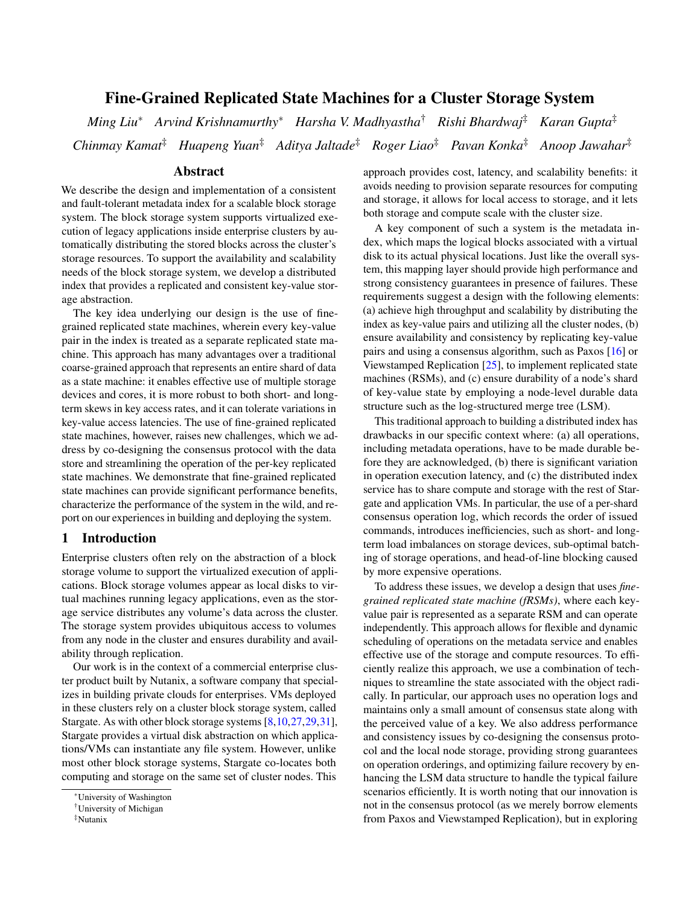# Fine-Grained Replicated State Machines for a Cluster Storage System

*Ming Liu*<sup>∗</sup> *Arvind Krishnamurthy*<sup>∗</sup> *Harsha V. Madhyastha*† *Rishi Bhardwaj*‡ *Karan Gupta*‡ *Chinmay Kamat*‡ *Huapeng Yuan*‡ *Aditya Jaltade*‡ *Roger Liao*‡ *Pavan Konka*‡ *Anoop Jawahar*‡

# Abstract

We describe the design and implementation of a consistent and fault-tolerant metadata index for a scalable block storage system. The block storage system supports virtualized execution of legacy applications inside enterprise clusters by automatically distributing the stored blocks across the cluster's storage resources. To support the availability and scalability needs of the block storage system, we develop a distributed index that provides a replicated and consistent key-value storage abstraction.

The key idea underlying our design is the use of finegrained replicated state machines, wherein every key-value pair in the index is treated as a separate replicated state machine. This approach has many advantages over a traditional coarse-grained approach that represents an entire shard of data as a state machine: it enables effective use of multiple storage devices and cores, it is more robust to both short- and longterm skews in key access rates, and it can tolerate variations in key-value access latencies. The use of fine-grained replicated state machines, however, raises new challenges, which we address by co-designing the consensus protocol with the data store and streamlining the operation of the per-key replicated state machines. We demonstrate that fine-grained replicated state machines can provide significant performance benefits, characterize the performance of the system in the wild, and report on our experiences in building and deploying the system.

# 1 Introduction

Enterprise clusters often rely on the abstraction of a block storage volume to support the virtualized execution of applications. Block storage volumes appear as local disks to virtual machines running legacy applications, even as the storage service distributes any volume's data across the cluster. The storage system provides ubiquitous access to volumes from any node in the cluster and ensures durability and availability through replication.

Our work is in the context of a commercial enterprise cluster product built by Nutanix, a software company that specializes in building private clouds for enterprises. VMs deployed in these clusters rely on a cluster block storage system, called Stargate. As with other block storage systems [\[8,](#page-12-0)[10,](#page-12-1)[27](#page-13-0)[,29,](#page-13-1)[31\]](#page-13-2), Stargate provides a virtual disk abstraction on which applications/VMs can instantiate any file system. However, unlike most other block storage systems, Stargate co-locates both computing and storage on the same set of cluster nodes. This

approach provides cost, latency, and scalability benefits: it avoids needing to provision separate resources for computing and storage, it allows for local access to storage, and it lets both storage and compute scale with the cluster size.

A key component of such a system is the metadata index, which maps the logical blocks associated with a virtual disk to its actual physical locations. Just like the overall system, this mapping layer should provide high performance and strong consistency guarantees in presence of failures. These requirements suggest a design with the following elements: (a) achieve high throughput and scalability by distributing the index as key-value pairs and utilizing all the cluster nodes, (b) ensure availability and consistency by replicating key-value pairs and using a consensus algorithm, such as Paxos [\[16\]](#page-12-2) or Viewstamped Replication [\[25\]](#page-13-3), to implement replicated state machines (RSMs), and (c) ensure durability of a node's shard of key-value state by employing a node-level durable data structure such as the log-structured merge tree (LSM).

This traditional approach to building a distributed index has drawbacks in our specific context where: (a) all operations, including metadata operations, have to be made durable before they are acknowledged, (b) there is significant variation in operation execution latency, and (c) the distributed index service has to share compute and storage with the rest of Stargate and application VMs. In particular, the use of a per-shard consensus operation log, which records the order of issued commands, introduces inefficiencies, such as short- and longterm load imbalances on storage devices, sub-optimal batching of storage operations, and head-of-line blocking caused by more expensive operations.

To address these issues, we develop a design that uses *finegrained replicated state machine (fRSMs)*, where each keyvalue pair is represented as a separate RSM and can operate independently. This approach allows for flexible and dynamic scheduling of operations on the metadata service and enables effective use of the storage and compute resources. To efficiently realize this approach, we use a combination of techniques to streamline the state associated with the object radically. In particular, our approach uses no operation logs and maintains only a small amount of consensus state along with the perceived value of a key. We also address performance and consistency issues by co-designing the consensus protocol and the local node storage, providing strong guarantees on operation orderings, and optimizing failure recovery by enhancing the LSM data structure to handle the typical failure scenarios efficiently. It is worth noting that our innovation is not in the consensus protocol (as we merely borrow elements from Paxos and Viewstamped Replication), but in exploring

<sup>∗</sup>University of Washington

<sup>†</sup>University of Michigan

<sup>‡</sup>Nutanix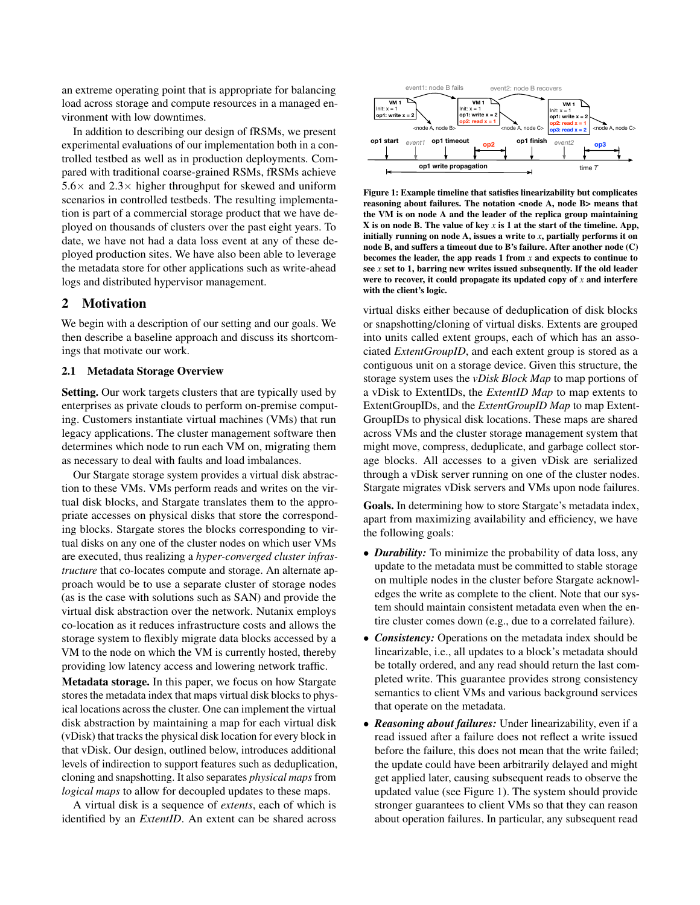an extreme operating point that is appropriate for balancing load across storage and compute resources in a managed environment with low downtimes.

In addition to describing our design of fRSMs, we present experimental evaluations of our implementation both in a controlled testbed as well as in production deployments. Compared with traditional coarse-grained RSMs, fRSMs achieve  $5.6\times$  and  $2.3\times$  higher throughput for skewed and uniform scenarios in controlled testbeds. The resulting implementation is part of a commercial storage product that we have deployed on thousands of clusters over the past eight years. To date, we have not had a data loss event at any of these deployed production sites. We have also been able to leverage the metadata store for other applications such as write-ahead logs and distributed hypervisor management.

# <span id="page-1-1"></span>2 Motivation

We begin with a description of our setting and our goals. We then describe a baseline approach and discuss its shortcomings that motivate our work.

### 2.1 Metadata Storage Overview

Setting. Our work targets clusters that are typically used by enterprises as private clouds to perform on-premise computing. Customers instantiate virtual machines (VMs) that run legacy applications. The cluster management software then determines which node to run each VM on, migrating them as necessary to deal with faults and load imbalances.

Our Stargate storage system provides a virtual disk abstraction to these VMs. VMs perform reads and writes on the virtual disk blocks, and Stargate translates them to the appropriate accesses on physical disks that store the corresponding blocks. Stargate stores the blocks corresponding to virtual disks on any one of the cluster nodes on which user VMs are executed, thus realizing a *hyper-converged cluster infrastructure* that co-locates compute and storage. An alternate approach would be to use a separate cluster of storage nodes (as is the case with solutions such as SAN) and provide the virtual disk abstraction over the network. Nutanix employs co-location as it reduces infrastructure costs and allows the storage system to flexibly migrate data blocks accessed by a VM to the node on which the VM is currently hosted, thereby providing low latency access and lowering network traffic.

Metadata storage. In this paper, we focus on how Stargate stores the metadata index that maps virtual disk blocks to physical locations across the cluster. One can implement the virtual disk abstraction by maintaining a map for each virtual disk (vDisk) that tracks the physical disk location for every block in that vDisk. Our design, outlined below, introduces additional levels of indirection to support features such as deduplication, cloning and snapshotting. It also separates *physical maps* from *logical maps* to allow for decoupled updates to these maps.

A virtual disk is a sequence of *extents*, each of which is identified by an *ExtentID*. An extent can be shared across

<span id="page-1-0"></span>

Figure 1: Example timeline that satisfies linearizability but complicates reasoning about failures. The notation <node A, node B> means that the VM is on node A and the leader of the replica group maintaining X is on node B. The value of key *x* is 1 at the start of the timeline. App, initially running on node A, issues a write to *x*, partially performs it on node B, and suffers a timeout due to B's failure. After another node (C) becomes the leader, the app reads 1 from *x* and expects to continue to see *x* set to 1, barring new writes issued subsequently. If the old leader were to recover, it could propagate its updated copy of *x* and interfere with the client's logic.

virtual disks either because of deduplication of disk blocks or snapshotting/cloning of virtual disks. Extents are grouped into units called extent groups, each of which has an associated *ExtentGroupID*, and each extent group is stored as a contiguous unit on a storage device. Given this structure, the storage system uses the *vDisk Block Map* to map portions of a vDisk to ExtentIDs, the *ExtentID Map* to map extents to ExtentGroupIDs, and the *ExtentGroupID Map* to map Extent-GroupIDs to physical disk locations. These maps are shared across VMs and the cluster storage management system that might move, compress, deduplicate, and garbage collect storage blocks. All accesses to a given vDisk are serialized through a vDisk server running on one of the cluster nodes. Stargate migrates vDisk servers and VMs upon node failures.

Goals. In determining how to store Stargate's metadata index, apart from maximizing availability and efficiency, we have the following goals:

- *Durability:* To minimize the probability of data loss, any update to the metadata must be committed to stable storage on multiple nodes in the cluster before Stargate acknowledges the write as complete to the client. Note that our system should maintain consistent metadata even when the entire cluster comes down (e.g., due to a correlated failure).
- *Consistency:* Operations on the metadata index should be linearizable, i.e., all updates to a block's metadata should be totally ordered, and any read should return the last completed write. This guarantee provides strong consistency semantics to client VMs and various background services that operate on the metadata.
- *Reasoning about failures:* Under linearizability, even if a read issued after a failure does not reflect a write issued before the failure, this does not mean that the write failed; the update could have been arbitrarily delayed and might get applied later, causing subsequent reads to observe the updated value (see Figure [1\)](#page-1-0). The system should provide stronger guarantees to client VMs so that they can reason about operation failures. In particular, any subsequent read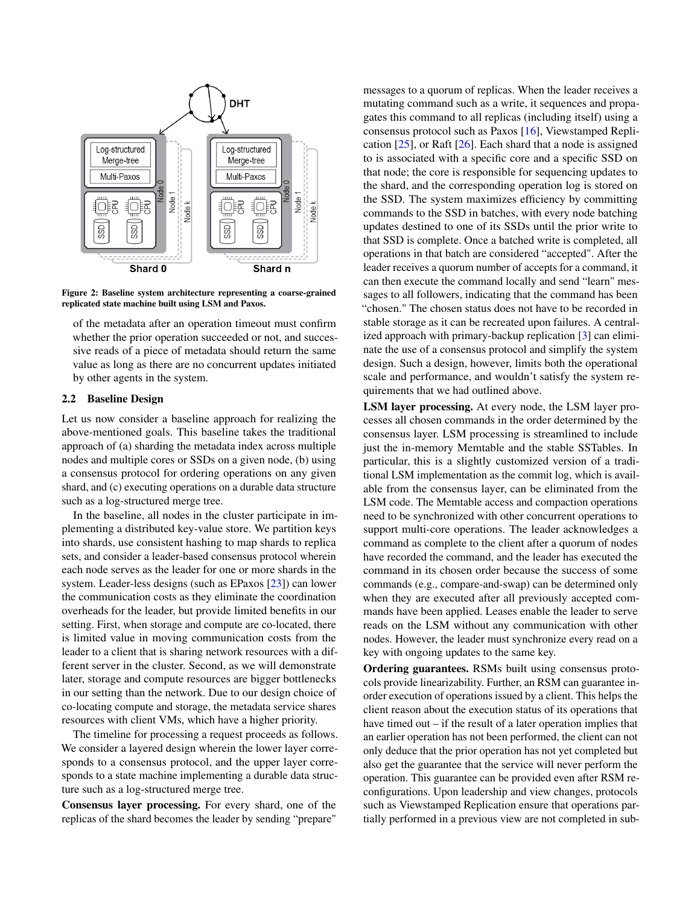

Figure 2: Baseline system architecture representing a coarse-grained replicated state machine built using LSM and Paxos.

of the metadata after an operation timeout must confirm whether the prior operation succeeded or not, and successive reads of a piece of metadata should return the same value as long as there are no concurrent updates initiated by other agents in the system.

## 2.2 Baseline Design

Let us now consider a baseline approach for realizing the above-mentioned goals. This baseline takes the traditional approach of (a) sharding the metadata index across multiple nodes and multiple cores or SSDs on a given node, (b) using a consensus protocol for ordering operations on any given shard, and (c) executing operations on a durable data structure such as a log-structured merge tree.

In the baseline, all nodes in the cluster participate in implementing a distributed key-value store. We partition keys into shards, use consistent hashing to map shards to replica sets, and consider a leader-based consensus protocol wherein each node serves as the leader for one or more shards in the system. Leader-less designs (such as EPaxos [\[23\]](#page-13-4)) can lower the communication costs as they eliminate the coordination overheads for the leader, but provide limited benefits in our setting. First, when storage and compute are co-located, there is limited value in moving communication costs from the leader to a client that is sharing network resources with a different server in the cluster. Second, as we will demonstrate later, storage and compute resources are bigger bottlenecks in our setting than the network. Due to our design choice of co-locating compute and storage, the metadata service shares resources with client VMs, which have a higher priority.

The timeline for processing a request proceeds as follows. We consider a layered design wherein the lower layer corresponds to a consensus protocol, and the upper layer corresponds to a state machine implementing a durable data structure such as a log-structured merge tree.

Consensus layer processing. For every shard, one of the replicas of the shard becomes the leader by sending "prepare"

messages to a quorum of replicas. When the leader receives a mutating command such as a write, it sequences and propagates this command to all replicas (including itself) using a consensus protocol such as Paxos [\[16\]](#page-12-2), Viewstamped Replication  $[25]$ , or Raft  $[26]$ . Each shard that a node is assigned to is associated with a specific core and a specific SSD on that node; the core is responsible for sequencing updates to the shard, and the corresponding operation log is stored on the SSD. The system maximizes efficiency by committing commands to the SSD in batches, with every node batching updates destined to one of its SSDs until the prior write to that SSD is complete. Once a batched write is completed, all operations in that batch are considered "accepted". After the leader receives a quorum number of accepts for a command, it can then execute the command locally and send "learn" messages to all followers, indicating that the command has been "chosen." The chosen status does not have to be recorded in stable storage as it can be recreated upon failures. A centralized approach with primary-backup replication [\[3\]](#page-12-3) can eliminate the use of a consensus protocol and simplify the system design. Such a design, however, limits both the operational scale and performance, and wouldn't satisfy the system requirements that we had outlined above.

LSM layer processing. At every node, the LSM layer processes all chosen commands in the order determined by the consensus layer. LSM processing is streamlined to include just the in-memory Memtable and the stable SSTables. In particular, this is a slightly customized version of a traditional LSM implementation as the commit log, which is available from the consensus layer, can be eliminated from the LSM code. The Memtable access and compaction operations need to be synchronized with other concurrent operations to support multi-core operations. The leader acknowledges a command as complete to the client after a quorum of nodes have recorded the command, and the leader has executed the command in its chosen order because the success of some commands (e.g., compare-and-swap) can be determined only when they are executed after all previously accepted commands have been applied. Leases enable the leader to serve reads on the LSM without any communication with other nodes. However, the leader must synchronize every read on a key with ongoing updates to the same key.

Ordering guarantees. RSMs built using consensus protocols provide linearizability. Further, an RSM can guarantee inorder execution of operations issued by a client. This helps the client reason about the execution status of its operations that have timed out – if the result of a later operation implies that an earlier operation has not been performed, the client can not only deduce that the prior operation has not yet completed but also get the guarantee that the service will never perform the operation. This guarantee can be provided even after RSM reconfigurations. Upon leadership and view changes, protocols such as Viewstamped Replication ensure that operations partially performed in a previous view are not completed in sub-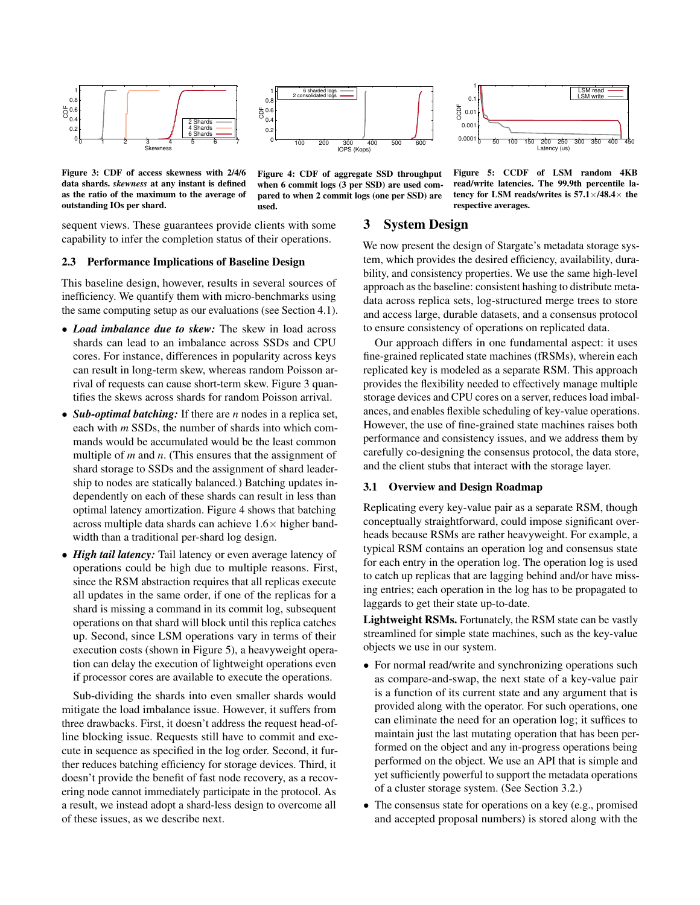<span id="page-3-0"></span>



 0.0001 0.00  $0.0$  $\Omega$ .  $1<sub>n</sub>$  0 50 100 150 200 250 300 350 400 450 CCDF Latency (us) LSM read LSM write

Figure 3: CDF of access skewness with 2/4/6 data shards. *skewness* at any instant is defined as the ratio of the maximum to the average of outstanding IOs per shard.

Figure 4: CDF of aggregate SSD throughput when 6 commit logs (3 per SSD) are used compared to when 2 commit logs (one per SSD) are used.

Figure 5: CCDF of LSM random 4KB read/write latencies. The 99.9th percentile latency for LSM reads/writes is  $57.1 \times 148.4 \times$  the respective averages.

# 3 System Design

We now present the design of Stargate's metadata storage system, which provides the desired efficiency, availability, durability, and consistency properties. We use the same high-level approach as the baseline: consistent hashing to distribute metadata across replica sets, log-structured merge trees to store and access large, durable datasets, and a consensus protocol to ensure consistency of operations on replicated data.

Our approach differs in one fundamental aspect: it uses fine-grained replicated state machines (fRSMs), wherein each replicated key is modeled as a separate RSM. This approach provides the flexibility needed to effectively manage multiple storage devices and CPU cores on a server, reduces load imbalances, and enables flexible scheduling of key-value operations. However, the use of fine-grained state machines raises both performance and consistency issues, and we address them by carefully co-designing the consensus protocol, the data store, and the client stubs that interact with the storage layer.

# 3.1 Overview and Design Roadmap

Replicating every key-value pair as a separate RSM, though conceptually straightforward, could impose significant overheads because RSMs are rather heavyweight. For example, a typical RSM contains an operation log and consensus state for each entry in the operation log. The operation log is used to catch up replicas that are lagging behind and/or have missing entries; each operation in the log has to be propagated to laggards to get their state up-to-date.

Lightweight RSMs. Fortunately, the RSM state can be vastly streamlined for simple state machines, such as the key-value objects we use in our system.

- For normal read/write and synchronizing operations such as compare-and-swap, the next state of a key-value pair is a function of its current state and any argument that is provided along with the operator. For such operations, one can eliminate the need for an operation log; it suffices to maintain just the last mutating operation that has been performed on the object and any in-progress operations being performed on the object. We use an API that is simple and yet sufficiently powerful to support the metadata operations of a cluster storage system. (See Section [3.2.](#page-4-0))
- The consensus state for operations on a key (e.g., promised and accepted proposal numbers) is stored along with the

sequent views. These guarantees provide clients with some capability to infer the completion status of their operations.

### 2.3 Performance Implications of Baseline Design

This baseline design, however, results in several sources of inefficiency. We quantify them with micro-benchmarks using the same computing setup as our evaluations (see Section [4.1\)](#page-7-0).

- *Load imbalance due to skew:* The skew in load across shards can lead to an imbalance across SSDs and CPU cores. For instance, differences in popularity across keys can result in long-term skew, whereas random Poisson arrival of requests can cause short-term skew. Figure [3](#page-3-0) quantifies the skews across shards for random Poisson arrival.
- *Sub-optimal batching:* If there are *n* nodes in a replica set, each with *m* SSDs, the number of shards into which commands would be accumulated would be the least common multiple of *m* and *n*. (This ensures that the assignment of shard storage to SSDs and the assignment of shard leadership to nodes are statically balanced.) Batching updates independently on each of these shards can result in less than optimal latency amortization. Figure [4](#page-3-0) shows that batching across multiple data shards can achieve  $1.6\times$  higher bandwidth than a traditional per-shard log design.
- *High tail latency:* Tail latency or even average latency of operations could be high due to multiple reasons. First, since the RSM abstraction requires that all replicas execute all updates in the same order, if one of the replicas for a shard is missing a command in its commit log, subsequent operations on that shard will block until this replica catches up. Second, since LSM operations vary in terms of their execution costs (shown in Figure [5\)](#page-3-0), a heavyweight operation can delay the execution of lightweight operations even if processor cores are available to execute the operations.

Sub-dividing the shards into even smaller shards would mitigate the load imbalance issue. However, it suffers from three drawbacks. First, it doesn't address the request head-ofline blocking issue. Requests still have to commit and execute in sequence as specified in the log order. Second, it further reduces batching efficiency for storage devices. Third, it doesn't provide the benefit of fast node recovery, as a recovering node cannot immediately participate in the protocol. As a result, we instead adopt a shard-less design to overcome all of these issues, as we describe next.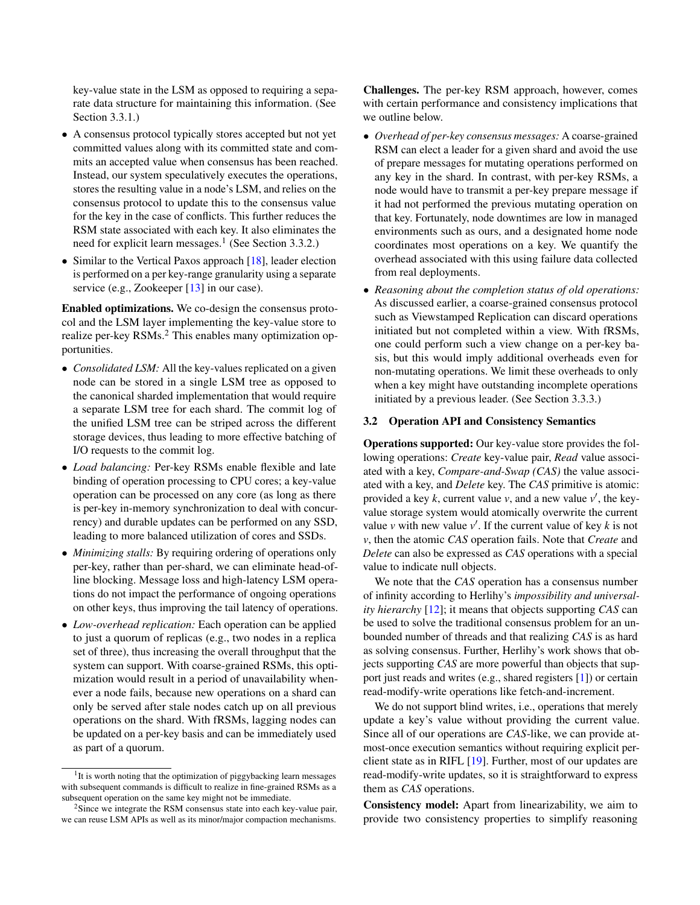key-value state in the LSM as opposed to requiring a separate data structure for maintaining this information. (See Section [3.3.1.](#page-5-0))

- A consensus protocol typically stores accepted but not yet committed values along with its committed state and commits an accepted value when consensus has been reached. Instead, our system speculatively executes the operations, stores the resulting value in a node's LSM, and relies on the consensus protocol to update this to the consensus value for the key in the case of conflicts. This further reduces the RSM state associated with each key. It also eliminates the need for explicit learn messages.<sup>[1](#page-4-1)</sup> (See Section [3.3.2.](#page-5-1))
- Similar to the Vertical Paxos approach [\[18\]](#page-12-4), leader election is performed on a per key-range granularity using a separate service (e.g., Zookeeper [\[13\]](#page-12-5) in our case).

Enabled optimizations. We co-design the consensus protocol and the LSM layer implementing the key-value store to realize per-key RSMs.<sup>[2](#page-4-2)</sup> This enables many optimization opportunities.

- *Consolidated LSM*: All the key-values replicated on a given node can be stored in a single LSM tree as opposed to the canonical sharded implementation that would require a separate LSM tree for each shard. The commit log of the unified LSM tree can be striped across the different storage devices, thus leading to more effective batching of I/O requests to the commit log.
- *Load balancing:* Per-key RSMs enable flexible and late binding of operation processing to CPU cores; a key-value operation can be processed on any core (as long as there is per-key in-memory synchronization to deal with concurrency) and durable updates can be performed on any SSD, leading to more balanced utilization of cores and SSDs.
- *Minimizing stalls:* By requiring ordering of operations only per-key, rather than per-shard, we can eliminate head-ofline blocking. Message loss and high-latency LSM operations do not impact the performance of ongoing operations on other keys, thus improving the tail latency of operations.
- *Low-overhead replication:* Each operation can be applied to just a quorum of replicas (e.g., two nodes in a replica set of three), thus increasing the overall throughput that the system can support. With coarse-grained RSMs, this optimization would result in a period of unavailability whenever a node fails, because new operations on a shard can only be served after stale nodes catch up on all previous operations on the shard. With fRSMs, lagging nodes can be updated on a per-key basis and can be immediately used as part of a quorum.

Challenges. The per-key RSM approach, however, comes with certain performance and consistency implications that we outline below.

- *Overhead of per-key consensus messages:* A coarse-grained RSM can elect a leader for a given shard and avoid the use of prepare messages for mutating operations performed on any key in the shard. In contrast, with per-key RSMs, a node would have to transmit a per-key prepare message if it had not performed the previous mutating operation on that key. Fortunately, node downtimes are low in managed environments such as ours, and a designated home node coordinates most operations on a key. We quantify the overhead associated with this using failure data collected from real deployments.
- *Reasoning about the completion status of old operations:* As discussed earlier, a coarse-grained consensus protocol such as Viewstamped Replication can discard operations initiated but not completed within a view. With fRSMs, one could perform such a view change on a per-key basis, but this would imply additional overheads even for non-mutating operations. We limit these overheads to only when a key might have outstanding incomplete operations initiated by a previous leader. (See Section [3.3.3.](#page-6-0))

### <span id="page-4-0"></span>3.2 Operation API and Consistency Semantics

Operations supported: Our key-value store provides the following operations: *Create* key-value pair, *Read* value associated with a key, *Compare-and-Swap (CAS)* the value associated with a key, and *Delete* key. The *CAS* primitive is atomic: provided a key  $k$ , current value  $v$ , and a new value  $v'$ , the keyvalue storage system would atomically overwrite the current value  $\nu$  with new value  $\nu'$ . If the current value of key  $k$  is not *v*, then the atomic *CAS* operation fails. Note that *Create* and *Delete* can also be expressed as *CAS* operations with a special value to indicate null objects.

We note that the *CAS* operation has a consensus number of infinity according to Herlihy's *impossibility and universality hierarchy* [\[12\]](#page-12-6); it means that objects supporting *CAS* can be used to solve the traditional consensus problem for an unbounded number of threads and that realizing *CAS* is as hard as solving consensus. Further, Herlihy's work shows that objects supporting *CAS* are more powerful than objects that support just reads and writes (e.g., shared registers [\[1\]](#page-12-7)) or certain read-modify-write operations like fetch-and-increment.

We do not support blind writes, i.e., operations that merely update a key's value without providing the current value. Since all of our operations are *CAS*-like, we can provide atmost-once execution semantics without requiring explicit perclient state as in RIFL [\[19\]](#page-12-8). Further, most of our updates are read-modify-write updates, so it is straightforward to express them as *CAS* operations.

Consistency model: Apart from linearizability, we aim to provide two consistency properties to simplify reasoning

<span id="page-4-1"></span><sup>&</sup>lt;sup>1</sup>It is worth noting that the optimization of piggybacking learn messages with subsequent commands is difficult to realize in fine-grained RSMs as a subsequent operation on the same key might not be immediate.

<span id="page-4-2"></span> $2$ Since we integrate the RSM consensus state into each key-value pair, we can reuse LSM APIs as well as its minor/major compaction mechanisms.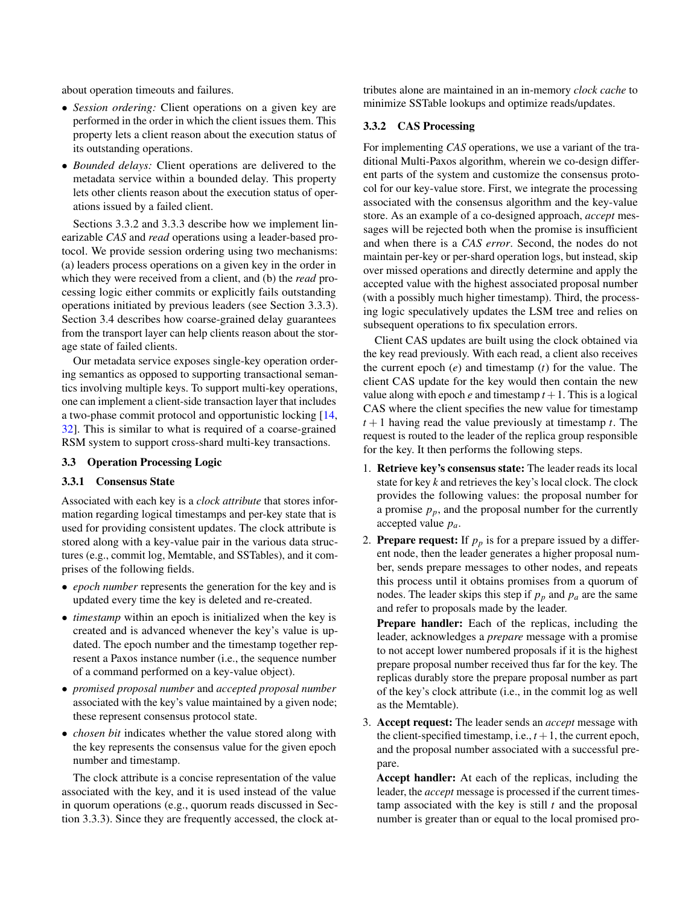about operation timeouts and failures.

- *Session ordering:* Client operations on a given key are performed in the order in which the client issues them. This property lets a client reason about the execution status of its outstanding operations.
- *Bounded delays:* Client operations are delivered to the metadata service within a bounded delay. This property lets other clients reason about the execution status of operations issued by a failed client.

Sections [3.3.2](#page-5-1) and [3.3.3](#page-6-0) describe how we implement linearizable *CAS* and *read* operations using a leader-based protocol. We provide session ordering using two mechanisms: (a) leaders process operations on a given key in the order in which they were received from a client, and (b) the *read* processing logic either commits or explicitly fails outstanding operations initiated by previous leaders (see Section [3.3.3\)](#page-6-0). Section [3.4](#page-7-1) describes how coarse-grained delay guarantees from the transport layer can help clients reason about the storage state of failed clients.

Our metadata service exposes single-key operation ordering semantics as opposed to supporting transactional semantics involving multiple keys. To support multi-key operations, one can implement a client-side transaction layer that includes a two-phase commit protocol and opportunistic locking [\[14,](#page-12-9) [32\]](#page-13-6). This is similar to what is required of a coarse-grained RSM system to support cross-shard multi-key transactions.

## 3.3 Operation Processing Logic

#### <span id="page-5-0"></span>3.3.1 Consensus State

Associated with each key is a *clock attribute* that stores information regarding logical timestamps and per-key state that is used for providing consistent updates. The clock attribute is stored along with a key-value pair in the various data structures (e.g., commit log, Memtable, and SSTables), and it comprises of the following fields.

- *epoch number* represents the generation for the key and is updated every time the key is deleted and re-created.
- *timestamp* within an epoch is initialized when the key is created and is advanced whenever the key's value is updated. The epoch number and the timestamp together represent a Paxos instance number (i.e., the sequence number of a command performed on a key-value object).
- *promised proposal number* and *accepted proposal number* associated with the key's value maintained by a given node; these represent consensus protocol state.
- *chosen bit* indicates whether the value stored along with the key represents the consensus value for the given epoch number and timestamp.

The clock attribute is a concise representation of the value associated with the key, and it is used instead of the value in quorum operations (e.g., quorum reads discussed in Section [3.3.3\)](#page-6-0). Since they are frequently accessed, the clock attributes alone are maintained in an in-memory *clock cache* to minimize SSTable lookups and optimize reads/updates.

## <span id="page-5-1"></span>3.3.2 CAS Processing

For implementing *CAS* operations, we use a variant of the traditional Multi-Paxos algorithm, wherein we co-design different parts of the system and customize the consensus protocol for our key-value store. First, we integrate the processing associated with the consensus algorithm and the key-value store. As an example of a co-designed approach, *accept* messages will be rejected both when the promise is insufficient and when there is a *CAS error*. Second, the nodes do not maintain per-key or per-shard operation logs, but instead, skip over missed operations and directly determine and apply the accepted value with the highest associated proposal number (with a possibly much higher timestamp). Third, the processing logic speculatively updates the LSM tree and relies on subsequent operations to fix speculation errors.

Client CAS updates are built using the clock obtained via the key read previously. With each read, a client also receives the current epoch (*e*) and timestamp (*t*) for the value. The client CAS update for the key would then contain the new value along with epoch  $e$  and timestamp  $t + 1$ . This is a logical CAS where the client specifies the new value for timestamp  $t+1$  having read the value previously at timestamp  $t$ . The request is routed to the leader of the replica group responsible for the key. It then performs the following steps.

- 1. Retrieve key's consensus state: The leader reads its local state for key *k* and retrieves the key's local clock. The clock provides the following values: the proposal number for a promise  $p_p$ , and the proposal number for the currently accepted value *pa*.
- 2. **Prepare request:** If  $p_p$  is for a prepare issued by a different node, then the leader generates a higher proposal number, sends prepare messages to other nodes, and repeats this process until it obtains promises from a quorum of nodes. The leader skips this step if  $p_p$  and  $p_a$  are the same and refer to proposals made by the leader.

Prepare handler: Each of the replicas, including the leader, acknowledges a *prepare* message with a promise to not accept lower numbered proposals if it is the highest prepare proposal number received thus far for the key. The replicas durably store the prepare proposal number as part of the key's clock attribute (i.e., in the commit log as well as the Memtable).

3. Accept request: The leader sends an *accept* message with the client-specified timestamp, i.e.,  $t + 1$ , the current epoch, and the proposal number associated with a successful prepare.

Accept handler: At each of the replicas, including the leader, the *accept* message is processed if the current timestamp associated with the key is still *t* and the proposal number is greater than or equal to the local promised pro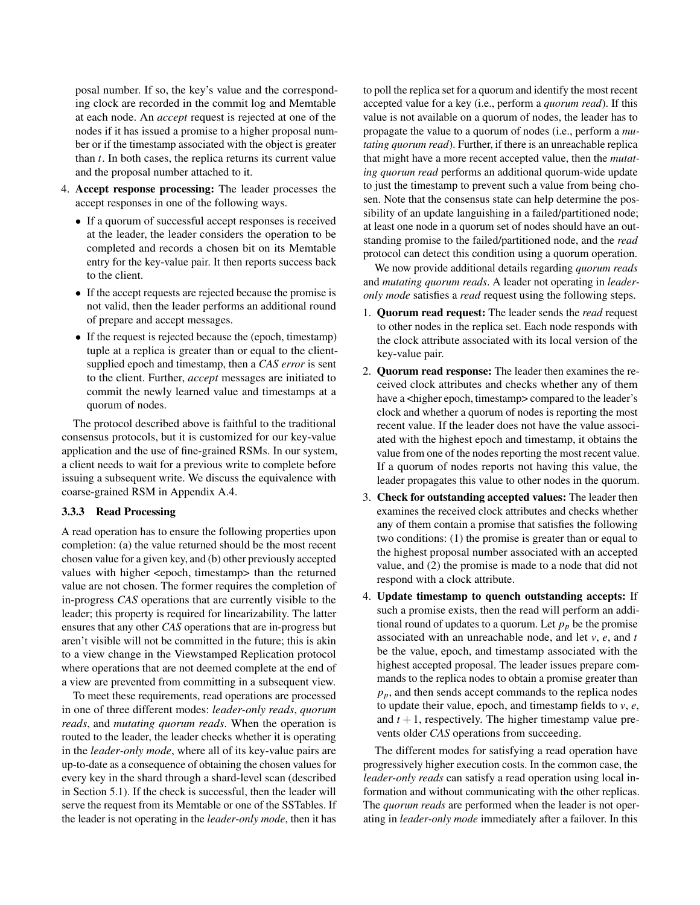posal number. If so, the key's value and the corresponding clock are recorded in the commit log and Memtable at each node. An *accept* request is rejected at one of the nodes if it has issued a promise to a higher proposal number or if the timestamp associated with the object is greater than *t*. In both cases, the replica returns its current value and the proposal number attached to it.

- 4. Accept response processing: The leader processes the accept responses in one of the following ways.
	- If a quorum of successful accept responses is received at the leader, the leader considers the operation to be completed and records a chosen bit on its Memtable entry for the key-value pair. It then reports success back to the client.
	- If the accept requests are rejected because the promise is not valid, then the leader performs an additional round of prepare and accept messages.
	- If the request is rejected because the (epoch, timestamp) tuple at a replica is greater than or equal to the clientsupplied epoch and timestamp, then a *CAS error* is sent to the client. Further, *accept* messages are initiated to commit the newly learned value and timestamps at a quorum of nodes.

The protocol described above is faithful to the traditional consensus protocols, but it is customized for our key-value application and the use of fine-grained RSMs. In our system, a client needs to wait for a previous write to complete before issuing a subsequent write. We discuss the equivalence with coarse-grained RSM in Appendix [A.4.](#page-15-0)

# <span id="page-6-0"></span>3.3.3 Read Processing

A read operation has to ensure the following properties upon completion: (a) the value returned should be the most recent chosen value for a given key, and (b) other previously accepted values with higher <epoch, timestamp> than the returned value are not chosen. The former requires the completion of in-progress *CAS* operations that are currently visible to the leader; this property is required for linearizability. The latter ensures that any other *CAS* operations that are in-progress but aren't visible will not be committed in the future; this is akin to a view change in the Viewstamped Replication protocol where operations that are not deemed complete at the end of a view are prevented from committing in a subsequent view.

To meet these requirements, read operations are processed in one of three different modes: *leader-only reads*, *quorum reads*, and *mutating quorum reads*. When the operation is routed to the leader, the leader checks whether it is operating in the *leader-only mode*, where all of its key-value pairs are up-to-date as a consequence of obtaining the chosen values for every key in the shard through a shard-level scan (described in Section [5.1\)](#page-10-0). If the check is successful, then the leader will serve the request from its Memtable or one of the SSTables. If the leader is not operating in the *leader-only mode*, then it has

to poll the replica set for a quorum and identify the most recent accepted value for a key (i.e., perform a *quorum read*). If this value is not available on a quorum of nodes, the leader has to propagate the value to a quorum of nodes (i.e., perform a *mutating quorum read*). Further, if there is an unreachable replica that might have a more recent accepted value, then the *mutating quorum read* performs an additional quorum-wide update to just the timestamp to prevent such a value from being chosen. Note that the consensus state can help determine the possibility of an update languishing in a failed/partitioned node; at least one node in a quorum set of nodes should have an outstanding promise to the failed/partitioned node, and the *read* protocol can detect this condition using a quorum operation.

We now provide additional details regarding *quorum reads* and *mutating quorum reads*. A leader not operating in *leaderonly mode* satisfies a *read* request using the following steps.

- 1. Quorum read request: The leader sends the *read* request to other nodes in the replica set. Each node responds with the clock attribute associated with its local version of the key-value pair.
- 2. Quorum read response: The leader then examines the received clock attributes and checks whether any of them have a <higher epoch, timestamp> compared to the leader's clock and whether a quorum of nodes is reporting the most recent value. If the leader does not have the value associated with the highest epoch and timestamp, it obtains the value from one of the nodes reporting the most recent value. If a quorum of nodes reports not having this value, the leader propagates this value to other nodes in the quorum.
- 3. Check for outstanding accepted values: The leader then examines the received clock attributes and checks whether any of them contain a promise that satisfies the following two conditions: (1) the promise is greater than or equal to the highest proposal number associated with an accepted value, and (2) the promise is made to a node that did not respond with a clock attribute.
- 4. Update timestamp to quench outstanding accepts: If such a promise exists, then the read will perform an additional round of updates to a quorum. Let  $p_p$  be the promise associated with an unreachable node, and let *v*, *e*, and *t* be the value, epoch, and timestamp associated with the highest accepted proposal. The leader issues prepare commands to the replica nodes to obtain a promise greater than  $p_p$ , and then sends accept commands to the replica nodes to update their value, epoch, and timestamp fields to *v*, *e*, and  $t + 1$ , respectively. The higher timestamp value prevents older *CAS* operations from succeeding.

The different modes for satisfying a read operation have progressively higher execution costs. In the common case, the *leader-only reads* can satisfy a read operation using local information and without communicating with the other replicas. The *quorum reads* are performed when the leader is not operating in *leader-only mode* immediately after a failover. In this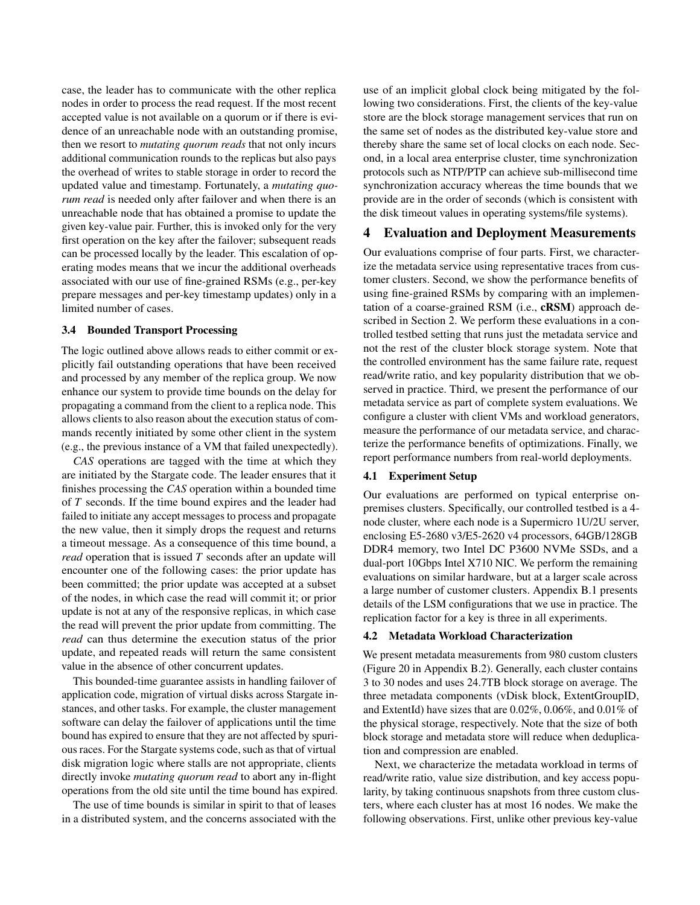case, the leader has to communicate with the other replica nodes in order to process the read request. If the most recent accepted value is not available on a quorum or if there is evidence of an unreachable node with an outstanding promise, then we resort to *mutating quorum reads* that not only incurs additional communication rounds to the replicas but also pays the overhead of writes to stable storage in order to record the updated value and timestamp. Fortunately, a *mutating quorum read* is needed only after failover and when there is an unreachable node that has obtained a promise to update the given key-value pair. Further, this is invoked only for the very first operation on the key after the failover; subsequent reads can be processed locally by the leader. This escalation of operating modes means that we incur the additional overheads associated with our use of fine-grained RSMs (e.g., per-key prepare messages and per-key timestamp updates) only in a limited number of cases.

#### <span id="page-7-1"></span>3.4 Bounded Transport Processing

The logic outlined above allows reads to either commit or explicitly fail outstanding operations that have been received and processed by any member of the replica group. We now enhance our system to provide time bounds on the delay for propagating a command from the client to a replica node. This allows clients to also reason about the execution status of commands recently initiated by some other client in the system (e.g., the previous instance of a VM that failed unexpectedly).

*CAS* operations are tagged with the time at which they are initiated by the Stargate code. The leader ensures that it finishes processing the *CAS* operation within a bounded time of *T* seconds. If the time bound expires and the leader had failed to initiate any accept messages to process and propagate the new value, then it simply drops the request and returns a timeout message. As a consequence of this time bound, a *read* operation that is issued *T* seconds after an update will encounter one of the following cases: the prior update has been committed; the prior update was accepted at a subset of the nodes, in which case the read will commit it; or prior update is not at any of the responsive replicas, in which case the read will prevent the prior update from committing. The *read* can thus determine the execution status of the prior update, and repeated reads will return the same consistent value in the absence of other concurrent updates.

This bounded-time guarantee assists in handling failover of application code, migration of virtual disks across Stargate instances, and other tasks. For example, the cluster management software can delay the failover of applications until the time bound has expired to ensure that they are not affected by spurious races. For the Stargate systems code, such as that of virtual disk migration logic where stalls are not appropriate, clients directly invoke *mutating quorum read* to abort any in-flight operations from the old site until the time bound has expired.

The use of time bounds is similar in spirit to that of leases in a distributed system, and the concerns associated with the use of an implicit global clock being mitigated by the following two considerations. First, the clients of the key-value store are the block storage management services that run on the same set of nodes as the distributed key-value store and thereby share the same set of local clocks on each node. Second, in a local area enterprise cluster, time synchronization protocols such as NTP/PTP can achieve sub-millisecond time synchronization accuracy whereas the time bounds that we provide are in the order of seconds (which is consistent with the disk timeout values in operating systems/file systems).

# 4 Evaluation and Deployment Measurements

Our evaluations comprise of four parts. First, we characterize the metadata service using representative traces from customer clusters. Second, we show the performance benefits of using fine-grained RSMs by comparing with an implementation of a coarse-grained RSM (i.e., cRSM) approach described in Section [2.](#page-1-1) We perform these evaluations in a controlled testbed setting that runs just the metadata service and not the rest of the cluster block storage system. Note that the controlled environment has the same failure rate, request read/write ratio, and key popularity distribution that we observed in practice. Third, we present the performance of our metadata service as part of complete system evaluations. We configure a cluster with client VMs and workload generators, measure the performance of our metadata service, and characterize the performance benefits of optimizations. Finally, we report performance numbers from real-world deployments.

## <span id="page-7-0"></span>4.1 Experiment Setup

Our evaluations are performed on typical enterprise onpremises clusters. Specifically, our controlled testbed is a 4 node cluster, where each node is a Supermicro 1U/2U server, enclosing E5-2680 v3/E5-2620 v4 processors, 64GB/128GB DDR4 memory, two Intel DC P3600 NVMe SSDs, and a dual-port 10Gbps Intel X710 NIC. We perform the remaining evaluations on similar hardware, but at a larger scale across a large number of customer clusters. Appendix [B.1](#page-15-1) presents details of the LSM configurations that we use in practice. The replication factor for a key is three in all experiments.

# 4.2 Metadata Workload Characterization

We present metadata measurements from 980 custom clusters (Figure [20](#page-16-0) in Appendix [B.2\)](#page-15-2). Generally, each cluster contains 3 to 30 nodes and uses 24.7TB block storage on average. The three metadata components (vDisk block, ExtentGroupID, and ExtentId) have sizes that are 0.02%, 0.06%, and 0.01% of the physical storage, respectively. Note that the size of both block storage and metadata store will reduce when deduplication and compression are enabled.

Next, we characterize the metadata workload in terms of read/write ratio, value size distribution, and key access popularity, by taking continuous snapshots from three custom clusters, where each cluster has at most 16 nodes. We make the following observations. First, unlike other previous key-value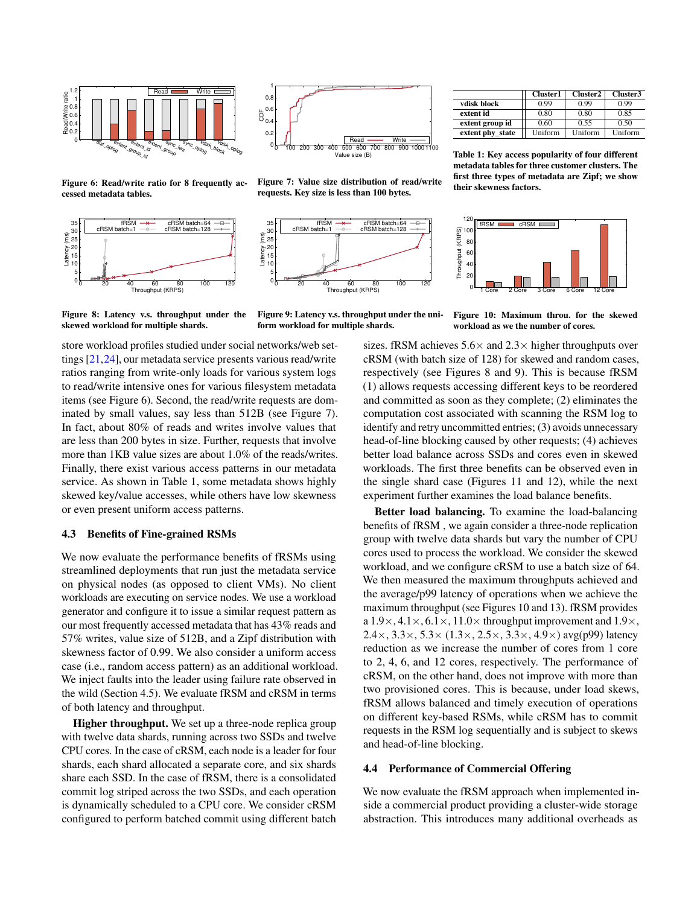<span id="page-8-0"></span>

Figure 6: Read/write ratio for 8 frequently accessed metadata tables.

<span id="page-8-1"></span>



Figure 7: Value size distribution of read/write requests. Key size is less than 100 bytes.



metadata tables for three customer clusters. The first three types of metadata are Zipf; we show their skewness factors. 120

vdisk block  $\begin{array}{|c|c|c|c|c|} \hline 0.99 & 0.99 & 0.99 \\ \hline \text{erstrat id} & 0.80 & 0.80 & 0.85 \\ \hline \end{array}$ extent id  $\begin{array}{|c|c|c|c|c|c|c|c|} \hline 0.80 & 0.80 & 0.85 \ \hline \end{array}$ extent group id 0.60 0.55 0.50<br>extent phy\_state Uniform Uniform Uniform

Table 1: Key access popularity of four different

extent phy\_state

Cluster1 | Cluster2 | Cluster3



Figure 8: Latency v.s. throughput under the skewed workload for multiple shards.

Figure 9: Latency v.s. throughput under the uniform workload for multiple shards.

store workload profiles studied under social networks/web settings [\[21,](#page-12-10)[24\]](#page-13-7), our metadata service presents various read/write ratios ranging from write-only loads for various system logs to read/write intensive ones for various filesystem metadata items (see Figure [6\)](#page-8-0). Second, the read/write requests are dominated by small values, say less than 512B (see Figure [7\)](#page-8-0). In fact, about 80% of reads and writes involve values that are less than 200 bytes in size. Further, requests that involve more than 1KB value sizes are about 1.0% of the reads/writes. Finally, there exist various access patterns in our metadata service. As shown in Table [1,](#page-8-0) some metadata shows highly skewed key/value accesses, while others have low skewness or even present uniform access patterns.

## 4.3 Benefits of Fine-grained RSMs

We now evaluate the performance benefits of fRSMs using streamlined deployments that run just the metadata service on physical nodes (as opposed to client VMs). No client workloads are executing on service nodes. We use a workload generator and configure it to issue a similar request pattern as our most frequently accessed metadata that has 43% reads and 57% writes, value size of 512B, and a Zipf distribution with skewness factor of 0.99. We also consider a uniform access case (i.e., random access pattern) as an additional workload. We inject faults into the leader using failure rate observed in the wild (Section [4.5\)](#page-9-0). We evaluate fRSM and cRSM in terms of both latency and throughput.

Higher throughput. We set up a three-node replica group with twelve data shards, running across two SSDs and twelve CPU cores. In the case of cRSM, each node is a leader for four shards, each shard allocated a separate core, and six shards share each SSD. In the case of fRSM, there is a consolidated commit log striped across the two SSDs, and each operation is dynamically scheduled to a CPU core. We consider cRSM configured to perform batched commit using different batch

Figure 10: Maximum throu. for the skewed workload as we the number of cores.

sizes. fRSM achieves  $5.6 \times$  and  $2.3 \times$  higher throughputs over cRSM (with batch size of 128) for skewed and random cases, respectively (see Figures [8](#page-8-1) and [9\)](#page-8-1). This is because fRSM (1) allows requests accessing different keys to be reordered and committed as soon as they complete; (2) eliminates the computation cost associated with scanning the RSM log to identify and retry uncommitted entries; (3) avoids unnecessary head-of-line blocking caused by other requests; (4) achieves better load balance across SSDs and cores even in skewed workloads. The first three benefits can be observed even in the single shard case (Figures [11](#page-9-1) and [12\)](#page-9-1), while the next experiment further examines the load balance benefits.

Better load balancing. To examine the load-balancing benefits of fRSM , we again consider a three-node replication group with twelve data shards but vary the number of CPU cores used to process the workload. We consider the skewed workload, and we configure cRSM to use a batch size of 64. We then measured the maximum throughputs achieved and the average/p99 latency of operations when we achieve the maximum throughput (see Figures [10](#page-8-1) and [13\)](#page-9-1). fRSM provides a  $1.9\times, 4.1\times, 6.1\times, 11.0\times$  throughput improvement and  $1.9\times$ ,  $2.4 \times$ ,  $3.3 \times$ ,  $5.3 \times$   $(1.3 \times$ ,  $2.5 \times$ ,  $3.3 \times$ ,  $4.9 \times$ ) avg(p99) latency reduction as we increase the number of cores from 1 core to 2, 4, 6, and 12 cores, respectively. The performance of cRSM, on the other hand, does not improve with more than two provisioned cores. This is because, under load skews, fRSM allows balanced and timely execution of operations on different key-based RSMs, while cRSM has to commit requests in the RSM log sequentially and is subject to skews and head-of-line blocking.

#### 4.4 Performance of Commercial Offering

We now evaluate the fRSM approach when implemented inside a commercial product providing a cluster-wide storage abstraction. This introduces many additional overheads as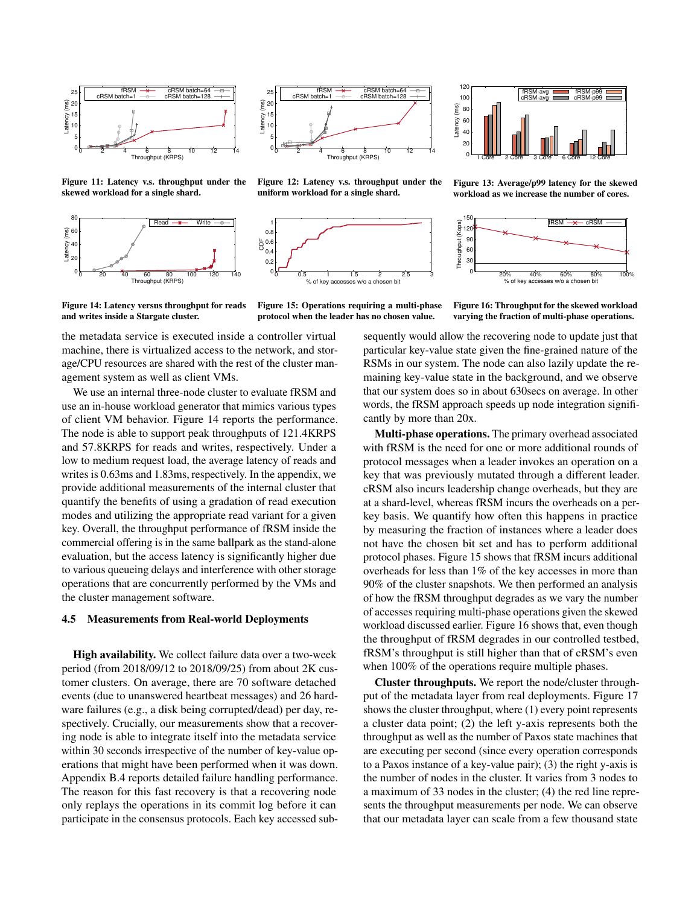<span id="page-9-1"></span>

Figure 11: Latency v.s. throughput under the skewed workload for a single shard.

<span id="page-9-2"></span>



Figure 12: Latency v.s. throughput under the uniform workload for a single shard.





Figure 13: Average/p99 latency for the skewed workload as we increase the number of cores.



Figure 14: Latency versus throughput for reads and writes inside a Stargate cluster.

Figure 15: Operations requiring a multi-phase protocol when the leader has no chosen value.

Figure 16: Throughput for the skewed workload varying the fraction of multi-phase operations.

the metadata service is executed inside a controller virtual machine, there is virtualized access to the network, and storage/CPU resources are shared with the rest of the cluster management system as well as client VMs.

We use an internal three-node cluster to evaluate fRSM and use an in-house workload generator that mimics various types of client VM behavior. Figure [14](#page-9-2) reports the performance. The node is able to support peak throughputs of 121.4KRPS and 57.8KRPS for reads and writes, respectively. Under a low to medium request load, the average latency of reads and writes is 0.63ms and 1.83ms, respectively. In the appendix, we provide additional measurements of the internal cluster that quantify the benefits of using a gradation of read execution modes and utilizing the appropriate read variant for a given key. Overall, the throughput performance of fRSM inside the commercial offering is in the same ballpark as the stand-alone evaluation, but the access latency is significantly higher due to various queueing delays and interference with other storage operations that are concurrently performed by the VMs and the cluster management software.

## <span id="page-9-0"></span>4.5 Measurements from Real-world Deployments

High availability. We collect failure data over a two-week period (from 2018/09/12 to 2018/09/25) from about 2K customer clusters. On average, there are 70 software detached events (due to unanswered heartbeat messages) and 26 hardware failures (e.g., a disk being corrupted/dead) per day, respectively. Crucially, our measurements show that a recovering node is able to integrate itself into the metadata service within 30 seconds irrespective of the number of key-value operations that might have been performed when it was down. Appendix [B.4](#page-15-3) reports detailed failure handling performance. The reason for this fast recovery is that a recovering node only replays the operations in its commit log before it can participate in the consensus protocols. Each key accessed subsequently would allow the recovering node to update just that particular key-value state given the fine-grained nature of the RSMs in our system. The node can also lazily update the remaining key-value state in the background, and we observe that our system does so in about 630secs on average. In other words, the fRSM approach speeds up node integration significantly by more than 20x.

Multi-phase operations. The primary overhead associated with fRSM is the need for one or more additional rounds of protocol messages when a leader invokes an operation on a key that was previously mutated through a different leader. cRSM also incurs leadership change overheads, but they are at a shard-level, whereas fRSM incurs the overheads on a perkey basis. We quantify how often this happens in practice by measuring the fraction of instances where a leader does not have the chosen bit set and has to perform additional protocol phases. Figure [15](#page-9-2) shows that fRSM incurs additional overheads for less than 1% of the key accesses in more than 90% of the cluster snapshots. We then performed an analysis of how the fRSM throughput degrades as we vary the number of accesses requiring multi-phase operations given the skewed workload discussed earlier. Figure [16](#page-9-2) shows that, even though the throughput of fRSM degrades in our controlled testbed, fRSM's throughput is still higher than that of cRSM's even when 100% of the operations require multiple phases.

Cluster throughputs. We report the node/cluster throughput of the metadata layer from real deployments. Figure [17](#page-10-1) shows the cluster throughput, where (1) every point represents a cluster data point; (2) the left y-axis represents both the throughput as well as the number of Paxos state machines that are executing per second (since every operation corresponds to a Paxos instance of a key-value pair); (3) the right y-axis is the number of nodes in the cluster. It varies from 3 nodes to a maximum of 33 nodes in the cluster; (4) the red line represents the throughput measurements per node. We can observe that our metadata layer can scale from a few thousand state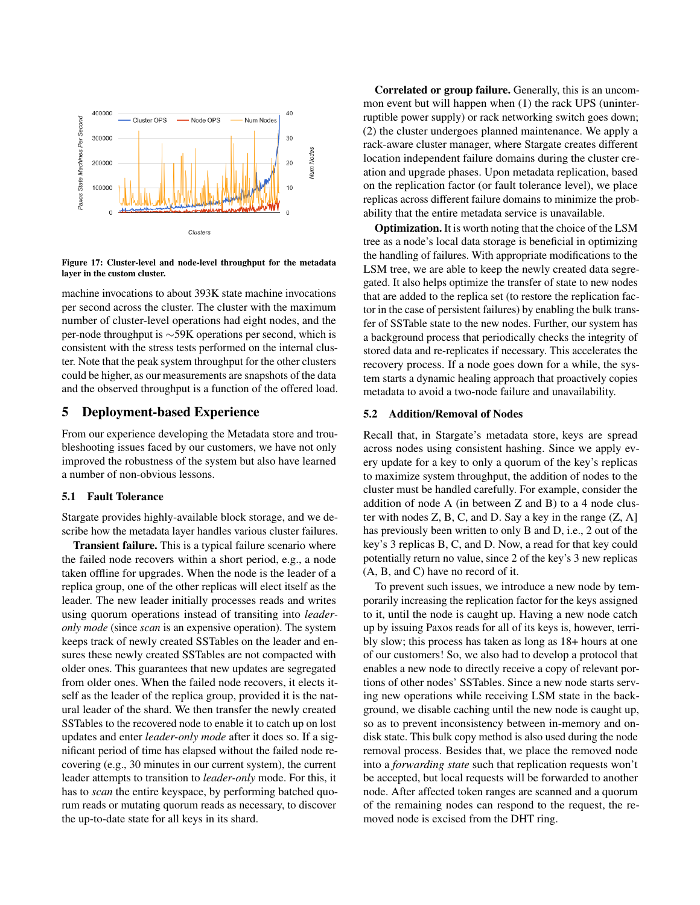<span id="page-10-1"></span>

Figure 17: Cluster-level and node-level throughput for the metadata layer in the custom cluster.

machine invocations to about 393K state machine invocations per second across the cluster. The cluster with the maximum number of cluster-level operations had eight nodes, and the per-node throughput is ∼59K operations per second, which is consistent with the stress tests performed on the internal cluster. Note that the peak system throughput for the other clusters could be higher, as our measurements are snapshots of the data and the observed throughput is a function of the offered load.

# 5 Deployment-based Experience

From our experience developing the Metadata store and troubleshooting issues faced by our customers, we have not only improved the robustness of the system but also have learned a number of non-obvious lessons.

# <span id="page-10-0"></span>5.1 Fault Tolerance

Stargate provides highly-available block storage, and we describe how the metadata layer handles various cluster failures.

Transient failure. This is a typical failure scenario where the failed node recovers within a short period, e.g., a node taken offline for upgrades. When the node is the leader of a replica group, one of the other replicas will elect itself as the leader. The new leader initially processes reads and writes using quorum operations instead of transiting into *leaderonly mode* (since *scan* is an expensive operation). The system keeps track of newly created SSTables on the leader and ensures these newly created SSTables are not compacted with older ones. This guarantees that new updates are segregated from older ones. When the failed node recovers, it elects itself as the leader of the replica group, provided it is the natural leader of the shard. We then transfer the newly created SSTables to the recovered node to enable it to catch up on lost updates and enter *leader-only mode* after it does so. If a significant period of time has elapsed without the failed node recovering (e.g., 30 minutes in our current system), the current leader attempts to transition to *leader-only* mode. For this, it has to *scan* the entire keyspace, by performing batched quorum reads or mutating quorum reads as necessary, to discover the up-to-date state for all keys in its shard.

Correlated or group failure. Generally, this is an uncommon event but will happen when (1) the rack UPS (uninterruptible power supply) or rack networking switch goes down; (2) the cluster undergoes planned maintenance. We apply a rack-aware cluster manager, where Stargate creates different location independent failure domains during the cluster creation and upgrade phases. Upon metadata replication, based on the replication factor (or fault tolerance level), we place replicas across different failure domains to minimize the probability that the entire metadata service is unavailable.

Optimization. It is worth noting that the choice of the LSM tree as a node's local data storage is beneficial in optimizing the handling of failures. With appropriate modifications to the LSM tree, we are able to keep the newly created data segregated. It also helps optimize the transfer of state to new nodes that are added to the replica set (to restore the replication factor in the case of persistent failures) by enabling the bulk transfer of SSTable state to the new nodes. Further, our system has a background process that periodically checks the integrity of stored data and re-replicates if necessary. This accelerates the recovery process. If a node goes down for a while, the system starts a dynamic healing approach that proactively copies metadata to avoid a two-node failure and unavailability.

#### 5.2 Addition/Removal of Nodes

Recall that, in Stargate's metadata store, keys are spread across nodes using consistent hashing. Since we apply every update for a key to only a quorum of the key's replicas to maximize system throughput, the addition of nodes to the cluster must be handled carefully. For example, consider the addition of node A (in between Z and B) to a 4 node cluster with nodes  $Z$ ,  $B$ ,  $C$ , and  $D$ . Say a key in the range  $(Z, A)$ has previously been written to only B and D, i.e., 2 out of the key's 3 replicas B, C, and D. Now, a read for that key could potentially return no value, since 2 of the key's 3 new replicas (A, B, and C) have no record of it.

To prevent such issues, we introduce a new node by temporarily increasing the replication factor for the keys assigned to it, until the node is caught up. Having a new node catch up by issuing Paxos reads for all of its keys is, however, terribly slow; this process has taken as long as 18+ hours at one of our customers! So, we also had to develop a protocol that enables a new node to directly receive a copy of relevant portions of other nodes' SSTables. Since a new node starts serving new operations while receiving LSM state in the background, we disable caching until the new node is caught up, so as to prevent inconsistency between in-memory and ondisk state. This bulk copy method is also used during the node removal process. Besides that, we place the removed node into a *forwarding state* such that replication requests won't be accepted, but local requests will be forwarded to another node. After affected token ranges are scanned and a quorum of the remaining nodes can respond to the request, the removed node is excised from the DHT ring.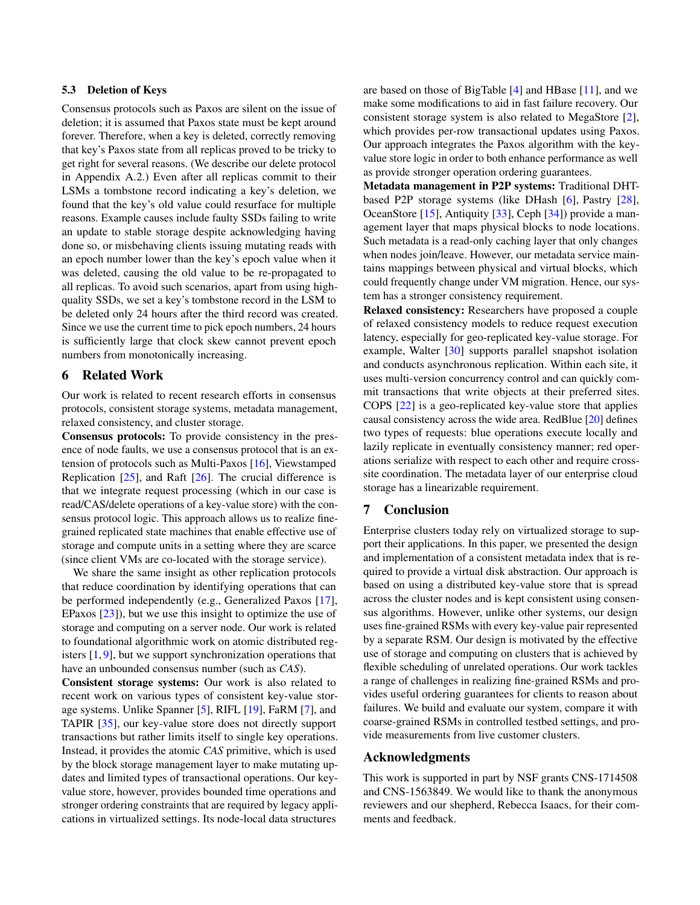# 5.3 Deletion of Keys

Consensus protocols such as Paxos are silent on the issue of deletion; it is assumed that Paxos state must be kept around forever. Therefore, when a key is deleted, correctly removing that key's Paxos state from all replicas proved to be tricky to get right for several reasons. (We describe our delete protocol in Appendix [A.2.](#page-14-0)) Even after all replicas commit to their LSMs a tombstone record indicating a key's deletion, we found that the key's old value could resurface for multiple reasons. Example causes include faulty SSDs failing to write an update to stable storage despite acknowledging having done so, or misbehaving clients issuing mutating reads with an epoch number lower than the key's epoch value when it was deleted, causing the old value to be re-propagated to all replicas. To avoid such scenarios, apart from using highquality SSDs, we set a key's tombstone record in the LSM to be deleted only 24 hours after the third record was created. Since we use the current time to pick epoch numbers, 24 hours is sufficiently large that clock skew cannot prevent epoch numbers from monotonically increasing.

# 6 Related Work

Our work is related to recent research efforts in consensus protocols, consistent storage systems, metadata management, relaxed consistency, and cluster storage.

Consensus protocols: To provide consistency in the presence of node faults, we use a consensus protocol that is an extension of protocols such as Multi-Paxos [\[16\]](#page-12-2), Viewstamped Replication  $[25]$ , and Raft  $[26]$ . The crucial difference is that we integrate request processing (which in our case is read/CAS/delete operations of a key-value store) with the consensus protocol logic. This approach allows us to realize finegrained replicated state machines that enable effective use of storage and compute units in a setting where they are scarce (since client VMs are co-located with the storage service).

We share the same insight as other replication protocols that reduce coordination by identifying operations that can be performed independently (e.g., Generalized Paxos [\[17\]](#page-12-11), EPaxos [\[23\]](#page-13-4)), but we use this insight to optimize the use of storage and computing on a server node. Our work is related to foundational algorithmic work on atomic distributed registers  $[1, 9]$  $[1, 9]$  $[1, 9]$ , but we support synchronization operations that have an unbounded consensus number (such as *CAS*).

Consistent storage systems: Our work is also related to recent work on various types of consistent key-value storage systems. Unlike Spanner [\[5\]](#page-12-13), RIFL [\[19\]](#page-12-8), FaRM [\[7\]](#page-12-14), and TAPIR [\[35\]](#page-13-8), our key-value store does not directly support transactions but rather limits itself to single key operations. Instead, it provides the atomic *CAS* primitive, which is used by the block storage management layer to make mutating updates and limited types of transactional operations. Our keyvalue store, however, provides bounded time operations and stronger ordering constraints that are required by legacy applications in virtualized settings. Its node-local data structures

are based on those of BigTable [\[4\]](#page-12-15) and HBase [\[11\]](#page-12-16), and we make some modifications to aid in fast failure recovery. Our consistent storage system is also related to MegaStore [\[2\]](#page-12-17), which provides per-row transactional updates using Paxos. Our approach integrates the Paxos algorithm with the keyvalue store logic in order to both enhance performance as well as provide stronger operation ordering guarantees.

Metadata management in P2P systems: Traditional DHTbased P2P storage systems (like DHash [\[6\]](#page-12-18), Pastry [\[28\]](#page-13-9), OceanStore [\[15\]](#page-12-19), Antiquity [\[33\]](#page-13-10), Ceph [\[34\]](#page-13-11)) provide a management layer that maps physical blocks to node locations. Such metadata is a read-only caching layer that only changes when nodes join/leave. However, our metadata service maintains mappings between physical and virtual blocks, which could frequently change under VM migration. Hence, our system has a stronger consistency requirement.

Relaxed consistency: Researchers have proposed a couple of relaxed consistency models to reduce request execution latency, especially for geo-replicated key-value storage. For example, Walter [\[30\]](#page-13-12) supports parallel snapshot isolation and conducts asynchronous replication. Within each site, it uses multi-version concurrency control and can quickly commit transactions that write objects at their preferred sites. COPS [\[22\]](#page-13-13) is a geo-replicated key-value store that applies causal consistency across the wide area. RedBlue [\[20\]](#page-12-20) defines two types of requests: blue operations execute locally and lazily replicate in eventually consistency manner; red operations serialize with respect to each other and require crosssite coordination. The metadata layer of our enterprise cloud storage has a linearizable requirement.

# 7 Conclusion

Enterprise clusters today rely on virtualized storage to support their applications. In this paper, we presented the design and implementation of a consistent metadata index that is required to provide a virtual disk abstraction. Our approach is based on using a distributed key-value store that is spread across the cluster nodes and is kept consistent using consensus algorithms. However, unlike other systems, our design uses fine-grained RSMs with every key-value pair represented by a separate RSM. Our design is motivated by the effective use of storage and computing on clusters that is achieved by flexible scheduling of unrelated operations. Our work tackles a range of challenges in realizing fine-grained RSMs and provides useful ordering guarantees for clients to reason about failures. We build and evaluate our system, compare it with coarse-grained RSMs in controlled testbed settings, and provide measurements from live customer clusters.

#### Acknowledgments

This work is supported in part by NSF grants CNS-1714508 and CNS-1563849. We would like to thank the anonymous reviewers and our shepherd, Rebecca Isaacs, for their comments and feedback.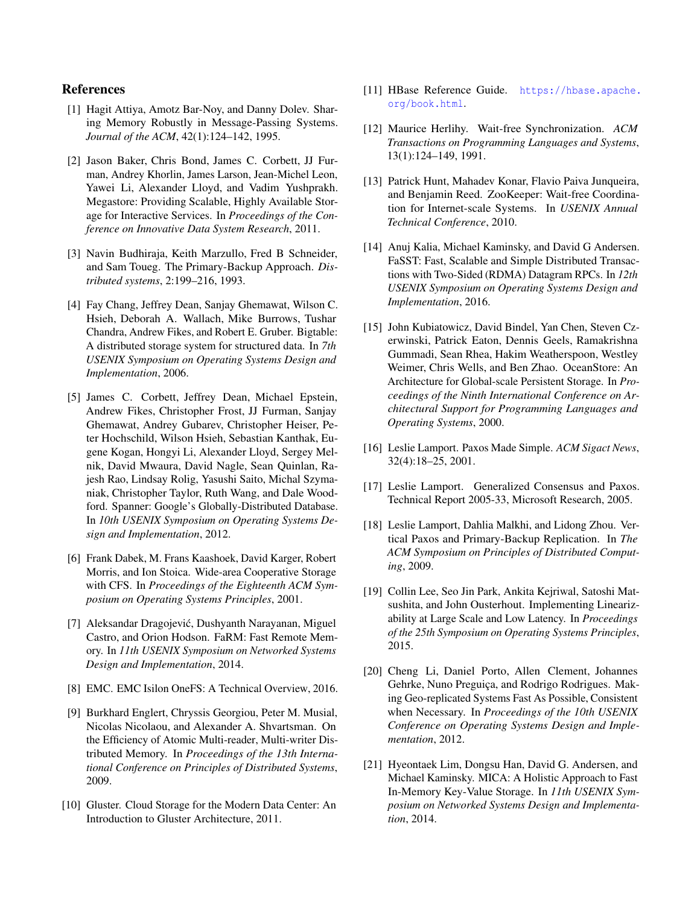# References

- <span id="page-12-7"></span>[1] Hagit Attiya, Amotz Bar-Noy, and Danny Doley. Sharing Memory Robustly in Message-Passing Systems. *Journal of the ACM*, 42(1):124–142, 1995.
- <span id="page-12-17"></span>[2] Jason Baker, Chris Bond, James C. Corbett, JJ Furman, Andrey Khorlin, James Larson, Jean-Michel Leon, Yawei Li, Alexander Lloyd, and Vadim Yushprakh. Megastore: Providing Scalable, Highly Available Storage for Interactive Services. In *Proceedings of the Conference on Innovative Data System Research*, 2011.
- <span id="page-12-3"></span>[3] Navin Budhiraja, Keith Marzullo, Fred B Schneider, and Sam Toueg. The Primary-Backup Approach. *Distributed systems*, 2:199–216, 1993.
- <span id="page-12-15"></span>[4] Fay Chang, Jeffrey Dean, Sanjay Ghemawat, Wilson C. Hsieh, Deborah A. Wallach, Mike Burrows, Tushar Chandra, Andrew Fikes, and Robert E. Gruber. Bigtable: A distributed storage system for structured data. In *7th USENIX Symposium on Operating Systems Design and Implementation*, 2006.
- <span id="page-12-13"></span>[5] James C. Corbett, Jeffrey Dean, Michael Epstein, Andrew Fikes, Christopher Frost, JJ Furman, Sanjay Ghemawat, Andrey Gubarev, Christopher Heiser, Peter Hochschild, Wilson Hsieh, Sebastian Kanthak, Eugene Kogan, Hongyi Li, Alexander Lloyd, Sergey Melnik, David Mwaura, David Nagle, Sean Quinlan, Rajesh Rao, Lindsay Rolig, Yasushi Saito, Michal Szymaniak, Christopher Taylor, Ruth Wang, and Dale Woodford. Spanner: Google's Globally-Distributed Database. In *10th USENIX Symposium on Operating Systems Design and Implementation*, 2012.
- <span id="page-12-18"></span>[6] Frank Dabek, M. Frans Kaashoek, David Karger, Robert Morris, and Ion Stoica. Wide-area Cooperative Storage with CFS. In *Proceedings of the Eighteenth ACM Symposium on Operating Systems Principles*, 2001.
- <span id="page-12-14"></span>[7] Aleksandar Dragojević, Dushyanth Narayanan, Miguel Castro, and Orion Hodson. FaRM: Fast Remote Memory. In *11th USENIX Symposium on Networked Systems Design and Implementation*, 2014.
- <span id="page-12-0"></span>[8] EMC. EMC Isilon OneFS: A Technical Overview, 2016.
- <span id="page-12-12"></span>[9] Burkhard Englert, Chryssis Georgiou, Peter M. Musial, Nicolas Nicolaou, and Alexander A. Shvartsman. On the Efficiency of Atomic Multi-reader, Multi-writer Distributed Memory. In *Proceedings of the 13th International Conference on Principles of Distributed Systems*, 2009.
- <span id="page-12-1"></span>[10] Gluster. Cloud Storage for the Modern Data Center: An Introduction to Gluster Architecture, 2011.
- <span id="page-12-16"></span>[11] HBase Reference Guide. [https://hbase.apache.](https://hbase.apache.org/book.html) [org/book.html](https://hbase.apache.org/book.html).
- <span id="page-12-6"></span>[12] Maurice Herlihy. Wait-free Synchronization. *ACM Transactions on Programming Languages and Systems*, 13(1):124–149, 1991.
- <span id="page-12-5"></span>[13] Patrick Hunt, Mahadev Konar, Flavio Paiva Junqueira, and Benjamin Reed. ZooKeeper: Wait-free Coordination for Internet-scale Systems. In *USENIX Annual Technical Conference*, 2010.
- <span id="page-12-9"></span>[14] Anuj Kalia, Michael Kaminsky, and David G Andersen. FaSST: Fast, Scalable and Simple Distributed Transactions with Two-Sided (RDMA) Datagram RPCs. In *12th USENIX Symposium on Operating Systems Design and Implementation*, 2016.
- <span id="page-12-19"></span>[15] John Kubiatowicz, David Bindel, Yan Chen, Steven Czerwinski, Patrick Eaton, Dennis Geels, Ramakrishna Gummadi, Sean Rhea, Hakim Weatherspoon, Westley Weimer, Chris Wells, and Ben Zhao. OceanStore: An Architecture for Global-scale Persistent Storage. In *Proceedings of the Ninth International Conference on Architectural Support for Programming Languages and Operating Systems*, 2000.
- <span id="page-12-2"></span>[16] Leslie Lamport. Paxos Made Simple. *ACM Sigact News*, 32(4):18–25, 2001.
- <span id="page-12-11"></span>[17] Leslie Lamport. Generalized Consensus and Paxos. Technical Report 2005-33, Microsoft Research, 2005.
- <span id="page-12-4"></span>[18] Leslie Lamport, Dahlia Malkhi, and Lidong Zhou. Vertical Paxos and Primary-Backup Replication. In *The ACM Symposium on Principles of Distributed Computing*, 2009.
- <span id="page-12-8"></span>[19] Collin Lee, Seo Jin Park, Ankita Kejriwal, Satoshi Matsushita, and John Ousterhout. Implementing Linearizability at Large Scale and Low Latency. In *Proceedings of the 25th Symposium on Operating Systems Principles*, 2015.
- <span id="page-12-20"></span>[20] Cheng Li, Daniel Porto, Allen Clement, Johannes Gehrke, Nuno Preguiça, and Rodrigo Rodrigues. Making Geo-replicated Systems Fast As Possible, Consistent when Necessary. In *Proceedings of the 10th USENIX Conference on Operating Systems Design and Implementation*, 2012.
- <span id="page-12-10"></span>[21] Hyeontaek Lim, Dongsu Han, David G. Andersen, and Michael Kaminsky. MICA: A Holistic Approach to Fast In-Memory Key-Value Storage. In *11th USENIX Symposium on Networked Systems Design and Implementation*, 2014.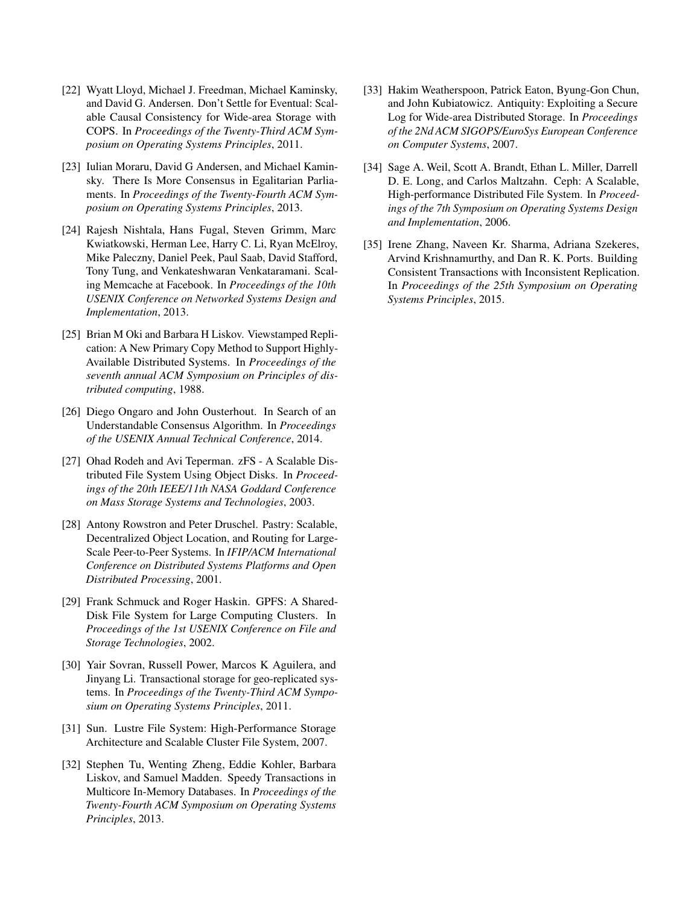- <span id="page-13-13"></span>[22] Wyatt Lloyd, Michael J. Freedman, Michael Kaminsky, and David G. Andersen. Don't Settle for Eventual: Scalable Causal Consistency for Wide-area Storage with COPS. In *Proceedings of the Twenty-Third ACM Symposium on Operating Systems Principles*, 2011.
- <span id="page-13-4"></span>[23] Iulian Moraru, David G Andersen, and Michael Kaminsky. There Is More Consensus in Egalitarian Parliaments. In *Proceedings of the Twenty-Fourth ACM Symposium on Operating Systems Principles*, 2013.
- <span id="page-13-7"></span>[24] Rajesh Nishtala, Hans Fugal, Steven Grimm, Marc Kwiatkowski, Herman Lee, Harry C. Li, Ryan McElroy, Mike Paleczny, Daniel Peek, Paul Saab, David Stafford, Tony Tung, and Venkateshwaran Venkataramani. Scaling Memcache at Facebook. In *Proceedings of the 10th USENIX Conference on Networked Systems Design and Implementation*, 2013.
- <span id="page-13-3"></span>[25] Brian M Oki and Barbara H Liskov. Viewstamped Replication: A New Primary Copy Method to Support Highly-Available Distributed Systems. In *Proceedings of the seventh annual ACM Symposium on Principles of distributed computing*, 1988.
- <span id="page-13-5"></span>[26] Diego Ongaro and John Ousterhout. In Search of an Understandable Consensus Algorithm. In *Proceedings of the USENIX Annual Technical Conference*, 2014.
- <span id="page-13-0"></span>[27] Ohad Rodeh and Avi Teperman. zFS - A Scalable Distributed File System Using Object Disks. In *Proceedings of the 20th IEEE/11th NASA Goddard Conference on Mass Storage Systems and Technologies*, 2003.
- <span id="page-13-9"></span>[28] Antony Rowstron and Peter Druschel. Pastry: Scalable, Decentralized Object Location, and Routing for Large-Scale Peer-to-Peer Systems. In *IFIP/ACM International Conference on Distributed Systems Platforms and Open Distributed Processing*, 2001.
- <span id="page-13-1"></span>[29] Frank Schmuck and Roger Haskin. GPFS: A Shared-Disk File System for Large Computing Clusters. In *Proceedings of the 1st USENIX Conference on File and Storage Technologies*, 2002.
- <span id="page-13-12"></span>[30] Yair Sovran, Russell Power, Marcos K Aguilera, and Jinyang Li. Transactional storage for geo-replicated systems. In *Proceedings of the Twenty-Third ACM Symposium on Operating Systems Principles*, 2011.
- <span id="page-13-2"></span>[31] Sun. Lustre File System: High-Performance Storage Architecture and Scalable Cluster File System, 2007.
- <span id="page-13-6"></span>[32] Stephen Tu, Wenting Zheng, Eddie Kohler, Barbara Liskov, and Samuel Madden. Speedy Transactions in Multicore In-Memory Databases. In *Proceedings of the Twenty-Fourth ACM Symposium on Operating Systems Principles*, 2013.
- <span id="page-13-10"></span>[33] Hakim Weatherspoon, Patrick Eaton, Byung-Gon Chun, and John Kubiatowicz. Antiquity: Exploiting a Secure Log for Wide-area Distributed Storage. In *Proceedings of the 2Nd ACM SIGOPS/EuroSys European Conference on Computer Systems*, 2007.
- <span id="page-13-11"></span>[34] Sage A. Weil, Scott A. Brandt, Ethan L. Miller, Darrell D. E. Long, and Carlos Maltzahn. Ceph: A Scalable, High-performance Distributed File System. In *Proceedings of the 7th Symposium on Operating Systems Design and Implementation*, 2006.
- <span id="page-13-8"></span>[35] Irene Zhang, Naveen Kr. Sharma, Adriana Szekeres, Arvind Krishnamurthy, and Dan R. K. Ports. Building Consistent Transactions with Inconsistent Replication. In *Proceedings of the 25th Symposium on Operating Systems Principles*, 2015.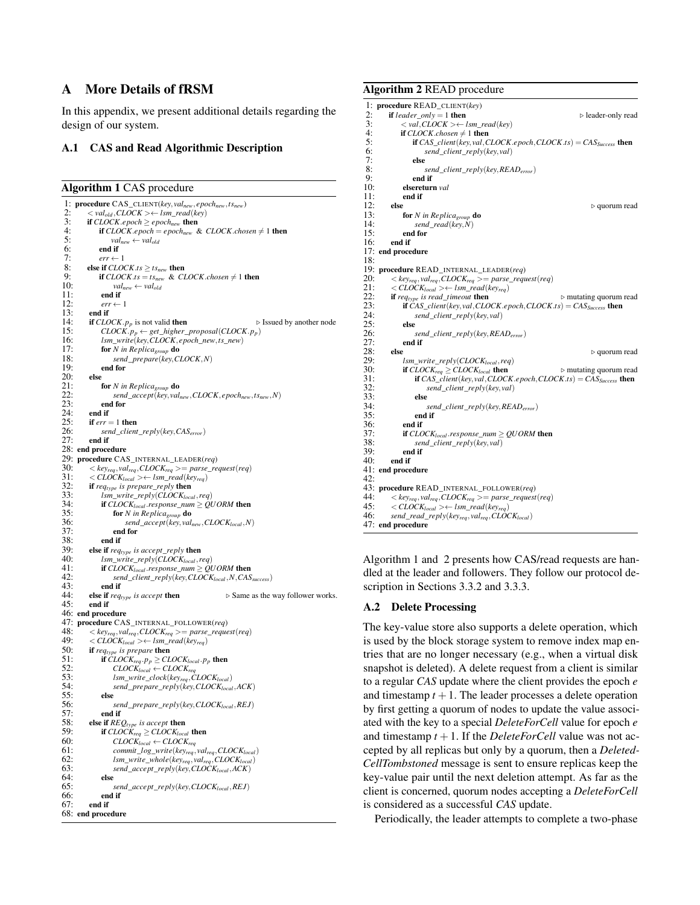# A More Details of fRSM

In this appendix, we present additional details regarding the design of our system.

# A.1 CAS and Read Algorithmic Description

<span id="page-14-1"></span>Algorithm 1 CAS procedure

1: procedure CAS\_CLIENT(*key*, *valnew*, *epochnew*,*tsnew*) 2:  $\langle val_{old}, CLOCAL \rangle \leftarrow lsm\_read(key)$ <br>3: **if**  $CLOCAL$ ,epoch  $\geq e$  *proch*<sub>new</sub> **then**3: **if** *CLOCK*.*epoch*  $\geq$  *epoch<sub>new</sub>* then<br>4: **if** *CLOCK epoch* = *epoch*<sub>new</sub>  $\delta$ 4: **if**  $CLOCK. epoch = epoch_{new}$  &  $CLOCK. chosen \neq 1$  then<br>5:  $val_{new} \leftarrow val_{old}$ 5:  $val_{new} \leftarrow val_{old}$ <br>6: **end if** 6: end if<br>7:  $err \leftarrow$ 7:  $err \leftarrow 1$ <br>8: **else if**  $CLO$ 8: else if *CLOCK*.*ts*  $\geq t s_{new}$  then<br>9. if *CLOCK ts* = *ts* & *Cl* 9: **if**  $CLOCK.ts = ts_{new} \& CLOCK. chosen \neq 1$  then 10:  $val_{new} \leftarrow val_{old}$ 10:  $val_{new} \leftarrow val_{old}$ <br>11 **end if** 11: **end if**  $\begin{array}{l} 11: \\ 12: \end{array}$  **err**  $\leftarrow$ 12:  $err \leftarrow 1$ <br>13: **end if** 13: end if<br>14: if  $CLO$ 14: **if** *CLOCK*.*p<sub>p</sub>* is not valid **then**  $\triangleright$  Issued by another node<br>15: *CLOCK.p<sub>p</sub>*  $\leftarrow$  *eet higher proposal(CLOCK.p<sub>p</sub>)</sub>* 15:  $\text{CLOCK.}$  $p_p \leftarrow \text{get\_higher\_proposal}(\text{CLOCK.} p_p)$ <br>16: Ism write(key CLOCK, epoch new, ts new) 16: *lsm*\_*write*(*key*,*CLOCK*, *epoch*\_*new*,*ts*\_*new*) 17: **for** *N* in Replica<sub>group</sub> **do**<br>18: *send prepare(key,Ci* 18: *send*\_*prepare*(*key*,*CLOCK*,*N*) 19: end for  $20:$  else<br> $21:$  1 21: **for** *N* in Replica<sub>group</sub> **do**<br>22: *send accent(key val.* 22: *send*\_*accept*(*key*, *valnew*,*CLOCK*, *epochnew*,*tsnew*,*N*)  $23:$  end for <br> $24:$  end if 24: end if<br>25: if  $err =$ 25: **if**  $err = 1$  **then**<br>26: **send** client 26: *send*\_*client*\_*reply*(*key*,*CASerror*) end if 28: end procedure 29: **procedure** CAS\_INTERNAL\_LEADER(*req*)<br>30: < key<sub>rga</sub>, val<sub>rga</sub>, CLOCK<sub>rga</sub> >= parse req 30:  $\langle key_{req}, val_{req}, \text{CLOCK}_{req} \rangle = parse\_request(\text{req})$ <br>31:  $\langle \text{CLOCK}_{local} \rangle \leftarrow \text{Ism\_read}(\text{key}_{req})$ 31:  $\langle CLOCK_{local}\rangle \leftarrow lsm\_read(key_{req})$ <br>32: **if** req<sub>type</sub> is prepare reply **then** 32: **if**  $req_{type}$  is prepare\_reply then<br>33:  $lsm$  write reply(CLOCK<sub>ing</sub>) 33:  $lsm\_write\_reply(CLOCK_{local},req)$ <br>34: **if** CLOCK<sub>local</sub> response num > OU 34: if  $CLOCK_{local}$  *response\_num*  $\geq$  *QUORM* then<br>35: for *N* in Replica **do** 35: for *N in Replicagroup* do 36: *send*\_*accept*(*key*, *valnew*,*CLOCKlocal* ,*N*)  $37:$  end for<br> $38:$  end if 38: end if<br>39: else if  $rea_t$ 39: **else if**  $req_{type}$  *is accept\_reply* **then**<br>40: *lsm write reply*  $CLOCK_{local}$ 40: *lsm*\_*write*\_*reply*(*CLOCKlocal* ,*req*) 41: **if**  $CLOCK_{local}$  response\_num  $\geq$  QUORM then<br>42: **send client reply(key CLOCK**<sub>local</sub> N CAS 42: *send*\_*client*\_*reply*(*key*,*CLOCKlocal* ,*N*,*CASsuccess*) 43: end if<br>44: else if  $rea$ **else if**  $req_{type}$  is accept **then**  $\triangleright$  Same as the way follower works. 45: end if 46: end procedure 47: **procedure** CAS\_INTERNAL\_FOLLOWER(*req*)<br>48:  $\langle k v_{\text{max}} \rangle$  cl.OCK<sub>req</sub>  $\rangle$  = parse reque 48:  $\langle key_{req}, val_{req}, \text{CLOCK}_{req} \rangle = parse\_request(req)$ <br>49:  $\langle \text{CLOCK}_{test} \rangle \langle = \text{Lsm}\text{ }read(key_{new})$ 49:  $\langle CLOCK_{local}\rangle \leftarrow lsm\_read(key_{req})$ <br>50: **if** require *is prepare* then 50: **if** *req<sub>type</sub>* is *prepare* **then**<br>51: **if** CLOCK  $p > C L$ 51: if  $\widehat{C} \text{LOCK}_{req}$ ,  $p_p \geq \text{C} \text{LOCK}_{local}$ ,  $p_p$  then 52:  $\widehat{C} \text{LOCK}_{real} \leftarrow \widehat{C} \text{LOCK}_{real}$ . 52: *CLOCKlocal* ← *CLOCKreq* 53: *lsm*\_*write*\_*clock*(*keyreq*,*CLOCKlocal*) 54: *send*\_*prepare*\_*reply*(*key*,*CLOCKlocal* ,*ACK*) 55: else 56: *send\_prepare\_reply(key,CLOCK<sub>local</sub>,REJ)*<br>57· **end if** 57: end if<br>58: else if  $RFL$ 58: **else if**  $REQ_{type}$  *is accept* then<br>59: **if**  $CIOCK > CIOCK$ 59: **if**  $CLOCK_{req} \geq CLOCK_{local}$  then<br>60:  $CLOCK_{local} \leftarrow CLOCK_{rec}$  $CLOCK<sub>local</sub> \leftarrow CLOCK<sub>req</sub>$ 61: *commit*\_*log*\_*write*(*keyreq*, *valreq*,*CLOCKlocal*) 62: *lsm*\_*write*\_*whole*(*keyreq*, *valreq*,*CLOCKlocal*) 63: *send*\_*accept*\_*reply*(*key*,*CLOCKlocal* ,*ACK*)  $64:$  else 65: *send*\_*accept*\_*reply*(*key*,*CLOCKlocal* ,*REJ*) 66: end if end if 68: end procedure

# <span id="page-14-2"></span>Algorithm 2 READ procedure

```
1: procedure READ_CLIENT(key)
 2: if leader\_only = 1 then \triangleright leader-only read<br>3: \ltimes val. CLOCK \gt\leftarrow lsm read(key)
 3: \langle val, CLOCK \rangle \leftarrow lsm\_read(key)<br>4: if CLOCK chosen \neq 1 then
 4: if CLOCK.chosen \neq 1 then<br>5: if CAS client(kev.yal.C)
 5: if CAS_client(key, val,CLOCK.epoch,CLOCK.ts) = CASSuccess then
 6: send_client_reply(key, val)
 7: else<br>8:
 8: send_client_reply(key,READerror)
9: end if<br>10: elseretur
10: elsereturn val
11: end if<br>12: else12: else \triangleright quorum read 13: for N in Replica<sub>nzum</sub> do
13: for N in Replica<sub>group</sub> do<br>14: send read(key N)
14: send\_read(key, N)<br>15: end for
15: end for<br>16: end if
           end if
17: end procedure
18:
19: procedure READ_INTERNAL_LEADER(req)
20: \langle key_{req}, val_{req}, CLOCK_{req} \rangle = parse\_request(req)<br>21: \langle CLOCK_{local} \rangle \langle new{eq} \rangle21: \langle CLOCK_{local}\rangle \leftarrow lsm\_read(key_{req})<br>22: if require is read, timeout then
22: if req_{type} is read_timeout then 23: if CAS client(key val.CLOCK epoch.CLOCK ts) = CASs
23: if CAS_{\text{c}client}(\text{key}, \text{val}, \text{CLOCK}. \text{epoch}, \text{CLOCK}. \text{ts}) = CAS_{\text{success}} then<br>
24. send client reply(key val)
24: send_client_reply(key, val)
25: else<br>26:
26: send_client_reply(key,READerror)
27: end if 28: else
28: else \triangleright quorum read \triangleright quorum read \triangleright quorum read \triangleright29: lsm_write_reply(CLOCK<sub>local</sub>,req)<br>30: if CLOCK<sub>reg</sub> > CLOCK<sub>local</sub> then
30: if \text{CLOCK}_{\text{req}} \geq \text{CLOCK}_{\text{local}} then \triangleright mutating quorum read 31: if \text{CAS}_{\text{c}} is \text{CLOCK}_{\text{req}} and \text{CLOCK}_{\text{req}} for \text{CLOCK}_{\text{req}} for \text{CLOCK}_{\text{req}}31: if CAS\_client(key, val, CLOCK. epoch, CLOCK. ts) = CAS_{Success} then<br>32: send client reply(key val)
32: send_client_reply(key, val)
33: else
34: send_client_reply(key,READerror)
35: end if
36: end if<br>37: if CLO37: if CLOCKlocal .response_num ≥ QUORM then
38: send_client_reply(key, val)
39: end if
           end if
41: end procedure
42.43: procedure READ_INTERNAL_FOLLOWER(req) 44: <br> \langle key_{real}, value_{q}.CLOCK_{real} \rangle = parse \text{ request}44: \langle key_{req}, val_{req}, CLOCK_{req} \rangle = parse\_request(req)<br>45: \langle CLOCK_{local} \rangle \langle new{eq} \rangle45: <i>CLOCK<sub>local</sub>></i> > <i>lim\_read</i>(<i>key<sub>req</sub></i>)<br>46: send read reply(key<sub>reg</sub>, val<sub>reg</sub>, CLO)
           46: send_read_reply(keyreq, valreq,CLOCKlocal)
47: end procedure
```
Algorithm [1](#page-14-1) and [2](#page-14-2) presents how CAS/read requests are handled at the leader and followers. They follow our protocol description in Sections [3.3.2](#page-5-1) and [3.3.3.](#page-6-0)

# <span id="page-14-0"></span>A.2 Delete Processing

The key-value store also supports a delete operation, which is used by the block storage system to remove index map entries that are no longer necessary (e.g., when a virtual disk snapshot is deleted). A delete request from a client is similar to a regular *CAS* update where the client provides the epoch *e* and timestamp  $t + 1$ . The leader processes a delete operation by first getting a quorum of nodes to update the value associated with the key to a special *DeleteForCell* value for epoch *e* and timestamp  $t + 1$ . If the *DeleteForCell* value was not accepted by all replicas but only by a quorum, then a *Deleted-CellTombstoned* message is sent to ensure replicas keep the key-value pair until the next deletion attempt. As far as the client is concerned, quorum nodes accepting a *DeleteForCell* is considered as a successful *CAS* update.

Periodically, the leader attempts to complete a two-phase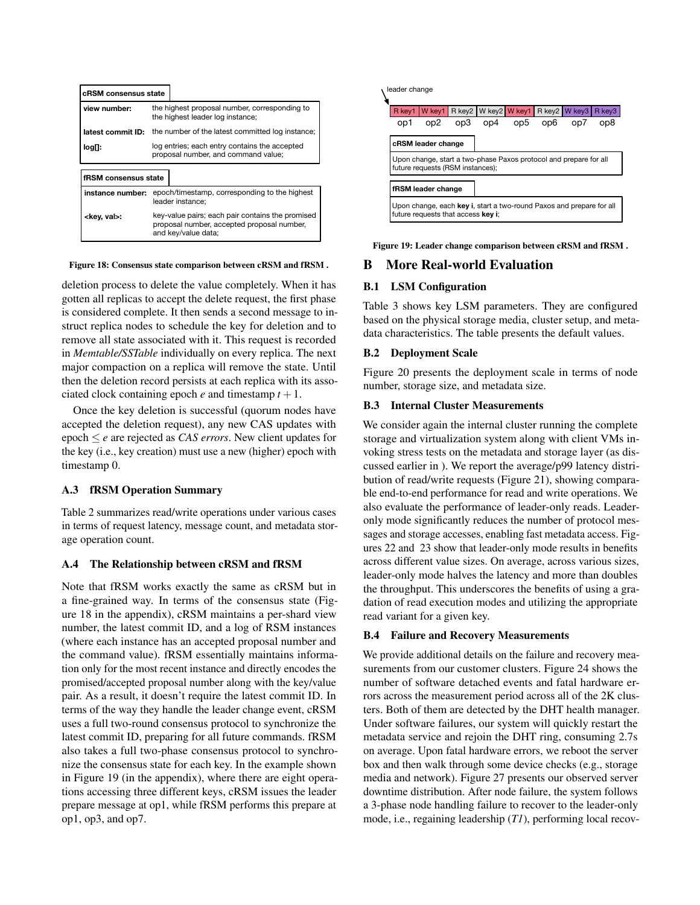<span id="page-15-4"></span>

| cRSM consensus state  |                                                                                                                       |  |  |  |  |
|-----------------------|-----------------------------------------------------------------------------------------------------------------------|--|--|--|--|
| view number:          | the highest proposal number, corresponding to<br>the highest leader log instance;                                     |  |  |  |  |
| latest commit ID:     | the number of the latest committed log instance;                                                                      |  |  |  |  |
| log∏:                 | log entries; each entry contains the accepted<br>proposal number, and command value;                                  |  |  |  |  |
| fRSM consensus state  |                                                                                                                       |  |  |  |  |
| instance number:      | epoch/timestamp, corresponding to the highest<br>leader instance:                                                     |  |  |  |  |
| <key, val="">:</key,> | key-value pairs; each pair contains the promised<br>proposal number, accepted proposal number,<br>and key/value data; |  |  |  |  |

#### Figure 18: Consensus state comparison between cRSM and fRSM .

deletion process to delete the value completely. When it has gotten all replicas to accept the delete request, the first phase is considered complete. It then sends a second message to instruct replica nodes to schedule the key for deletion and to remove all state associated with it. This request is recorded in *Memtable/SSTable* individually on every replica. The next major compaction on a replica will remove the state. Until then the deletion record persists at each replica with its associated clock containing epoch  $e$  and timestamp  $t + 1$ .

Once the key deletion is successful (quorum nodes have accepted the deletion request), any new CAS updates with epoch ≤ *e* are rejected as *CAS errors*. New client updates for the key (i.e., key creation) must use a new (higher) epoch with timestamp 0.

# A.3 fRSM Operation Summary

Table [2](#page-16-1) summarizes read/write operations under various cases in terms of request latency, message count, and metadata storage operation count.

#### <span id="page-15-0"></span>A.4 The Relationship between cRSM and fRSM

Note that fRSM works exactly the same as cRSM but in a fine-grained way. In terms of the consensus state (Figure [18](#page-15-4) in the appendix), cRSM maintains a per-shard view number, the latest commit ID, and a log of RSM instances (where each instance has an accepted proposal number and the command value). fRSM essentially maintains information only for the most recent instance and directly encodes the promised/accepted proposal number along with the key/value pair. As a result, it doesn't require the latest commit ID. In terms of the way they handle the leader change event, cRSM uses a full two-round consensus protocol to synchronize the latest commit ID, preparing for all future commands. fRSM also takes a full two-phase consensus protocol to synchronize the consensus state for each key. In the example shown in Figure [19](#page-15-5) (in the appendix), where there are eight operations accessing three different keys, cRSM issues the leader prepare message at op1, while fRSM performs this prepare at **Example:** second-mension experimentally in the proposition of the proposition of the proposition of the proposition of the proposition of the proposition of the proposition of the proposition of the proposition of the pro

<span id="page-15-5"></span>

Figure 19: Leader change comparison between cRSM and fRSM .

# B More Real-world Evaluation

# <span id="page-15-1"></span>B.1 LSM Configuration

Table [3](#page-16-2) shows key LSM parameters. They are configured based on the physical storage media, cluster setup, and metadata characteristics. The table presents the default values.

# <span id="page-15-2"></span>B.2 Deployment Scale

Figure [20](#page-16-0) presents the deployment scale in terms of node number, storage size, and metadata size.

### B.3 Internal Cluster Measurements

We consider again the internal cluster running the complete storage and virtualization system along with client VMs invoking stress tests on the metadata and storage layer (as discussed earlier in ). We report the average/p99 latency distribution of read/write requests (Figure [21\)](#page-16-3), showing comparable end-to-end performance for read and write operations. We also evaluate the performance of leader-only reads. Leaderonly mode significantly reduces the number of protocol messages and storage accesses, enabling fast metadata access. Figures [22](#page-16-3) and [23](#page-16-3) show that leader-only mode results in benefits across different value sizes. On average, across various sizes, leader-only mode halves the latency and more than doubles the throughput. This underscores the benefits of using a gradation of read execution modes and utilizing the appropriate read variant for a given key.

# <span id="page-15-3"></span>B.4 Failure and Recovery Measurements

We provide additional details on the failure and recovery measurements from our customer clusters. Figure [24](#page-16-4) shows the number of software detached events and fatal hardware errors across the measurement period across all of the 2K clusters. Both of them are detected by the DHT health manager. Under software failures, our system will quickly restart the metadata service and rejoin the DHT ring, consuming 2.7s on average. Upon fatal hardware errors, we reboot the server box and then walk through some device checks (e.g., storage media and network). Figure [27](#page-17-0) presents our observed server downtime distribution. After node failure, the system follows a 3-phase node handling failure to recover to the leader-only mode, i.e., regaining leadership (*T1*), performing local recov-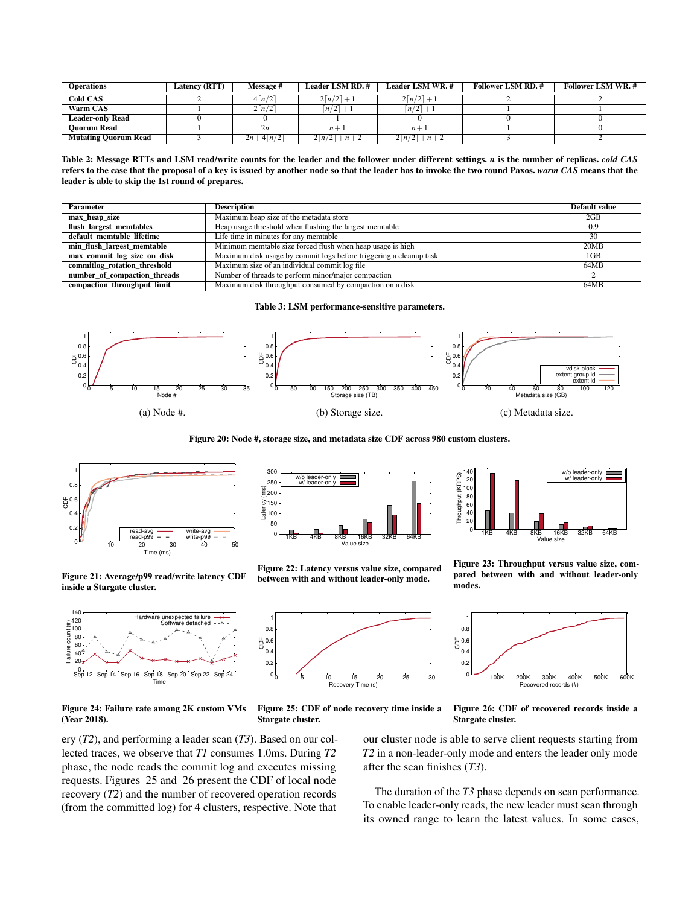<span id="page-16-1"></span>

| <b>Operations</b>           | Latency (RTT) | Message #               | <b>Leader LSM RD.#</b>       | Leader LSM WR. #             | <b>Follower LSM RD. #</b> | <b>Follower LSM WR.#</b> |
|-----------------------------|---------------|-------------------------|------------------------------|------------------------------|---------------------------|--------------------------|
| <b>Cold CAS</b>             |               | $4\lceil n/2 \rceil$    | $2\lceil n/2 \rceil + 1$     | $2\lceil n/2 \rceil + 1$     |                           |                          |
| Warm CAS                    |               | $2\lceil n/2 \rceil$    | $\lceil n/2 \rceil + 1$      | $\lceil n/2 \rceil + 1$      |                           |                          |
| <b>Leader-only Read</b>     |               |                         |                              |                              |                           |                          |
| <b>Ouorum Read</b>          |               | 2n                      | $n +$                        | $n+1$                        |                           |                          |
| <b>Mutating Quorum Read</b> |               | $2n+4\lceil n/2 \rceil$ | $2\lceil n/2 \rceil + n + 2$ | $2\lceil n/2 \rceil + n + 2$ |                           |                          |

Table 2: Message RTTs and LSM read/write counts for the leader and the follower under different settings. *n* is the number of replicas. *cold CAS* refers to the case that the proposal of a key is issued by another node so that the leader has to invoke the two round Paxos. *warm CAS* means that the leader is able to skip the 1st round of prepares.

<span id="page-16-2"></span>

| Parameter                    | <b>Description</b>                                                 | Default value |
|------------------------------|--------------------------------------------------------------------|---------------|
| max heap size                | Maximum heap size of the metadata store                            | 2GB           |
| flush largest memtables      | Heap usage threshold when flushing the largest memtable            | 0.9           |
| default memtable lifetime    | Life time in minutes for any memtable                              | 30            |
| min flush largest memtable   | Minimum memtable size forced flush when heap usage is high         | 20MB          |
| max_commit_log_size_on_disk  | Maximum disk usage by commit logs before triggering a cleanup task | $1$ GB        |
| commitlog rotation threshold | Maximum size of an individual commit log file                      | 64MB          |
| number_of_compaction_threads | Number of threads to perform minor/major compaction                |               |
| compaction throughput limit  | Maximum disk throughput consumed by compaction on a disk           | 64MB          |

Table 3: LSM performance-sensitive parameters.

<span id="page-16-0"></span>

Figure 20: Node #, storage size, and metadata size CDF across 980 custom clusters.

<span id="page-16-3"></span>



<span id="page-16-4"></span>

Figure 24: Failure rate among 2K custom VMs (Year 2018).





Figure 22: Latency versus value size, compared between with and without leader-only mode.



Figure 25: CDF of node recovery time inside a Stargate cluster.



Figure 23: Throughput versus value size, compared between with and without leader-only modes.



Figure 26: CDF of recovered records inside a Stargate cluster.

our cluster node is able to serve client requests starting from *T2* in a non-leader-only mode and enters the leader only mode after the scan finishes (*T3*).

The duration of the *T3* phase depends on scan performance. To enable leader-only reads, the new leader must scan through its owned range to learn the latest values. In some cases,